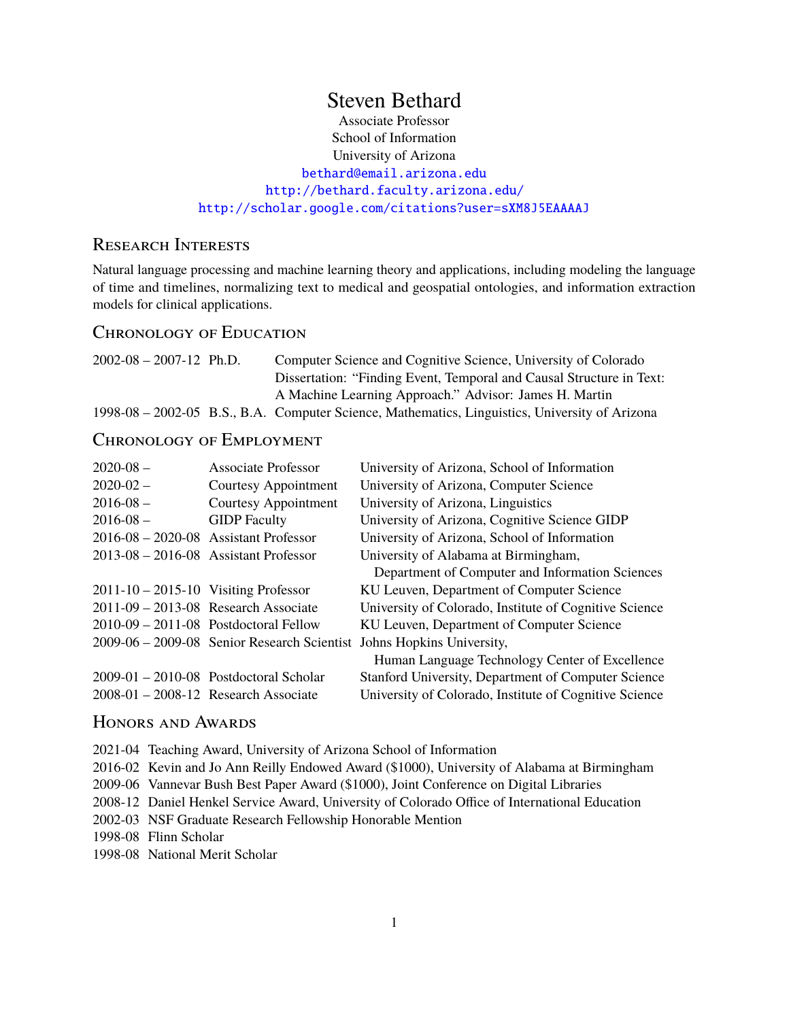# Steven Bethard

Associate Professor School of Information University of Arizona [bethard@email.arizona.edu](mailto:bethard@email.arizona.edu) <http://bethard.faculty.arizona.edu/> <http://scholar.google.com/citations?user=sXM8J5EAAAAJ>

## Research Interests

Natural language processing and machine learning theory and applications, including modeling the language of time and timelines, normalizing text to medical and geospatial ontologies, and information extraction models for clinical applications.

## Chronology of Education

| $2002 - 08 - 2007 - 12$ Ph.D. | Computer Science and Cognitive Science, University of Colorado                                 |  |  |
|-------------------------------|------------------------------------------------------------------------------------------------|--|--|
|                               | Dissertation: "Finding Event, Temporal and Causal Structure in Text:                           |  |  |
|                               | A Machine Learning Approach." Advisor: James H. Martin                                         |  |  |
|                               | 1998-08 – 2002-05 B.S., B.A. Computer Science, Mathematics, Linguistics, University of Arizona |  |  |

# Chronology of Employment

| $2020 - 08$ –                              | Associate Professor                      | University of Arizona, School of Information                          |
|--------------------------------------------|------------------------------------------|-----------------------------------------------------------------------|
| $2020 - 02 -$                              | Courtesy Appointment                     | University of Arizona, Computer Science                               |
| $2016 - 08 -$                              | Courtesy Appointment                     | University of Arizona, Linguistics                                    |
| $2016 - 08 -$                              | <b>GIDP</b> Faculty                      | University of Arizona, Cognitive Science GIDP                         |
| $2016-08 - 2020-08$ Assistant Professor    |                                          | University of Arizona, School of Information                          |
| $2013-08 - 2016-08$ Assistant Professor    |                                          | University of Alabama at Birmingham,                                  |
|                                            |                                          | Department of Computer and Information Sciences                       |
| $2011 - 10 - 2015 - 10$ Visiting Professor |                                          | KU Leuven, Department of Computer Science                             |
| $2011-09 - 2013-08$ Research Associate     |                                          | University of Colorado, Institute of Cognitive Science                |
|                                            | $2010-09 - 2011-08$ Postdoctoral Fellow  | KU Leuven, Department of Computer Science                             |
|                                            |                                          | 2009-06 - 2009-08 Senior Research Scientist Johns Hopkins University, |
|                                            |                                          | Human Language Technology Center of Excellence                        |
|                                            | $2009-01 - 2010-08$ Postdoctoral Scholar | Stanford University, Department of Computer Science                   |
| $2008-01 - 2008-12$ Research Associate     |                                          | University of Colorado, Institute of Cognitive Science                |

### Honors and Awards

2021-04 Teaching Award, University of Arizona School of Information

2016-02 Kevin and Jo Ann Reilly Endowed Award (\$1000), University of Alabama at Birmingham

2009-06 Vannevar Bush Best Paper Award (\$1000), Joint Conference on Digital Libraries

2008-12 Daniel Henkel Service Award, University of Colorado Office of International Education

2002-03 NSF Graduate Research Fellowship Honorable Mention

1998-08 Flinn Scholar

1998-08 National Merit Scholar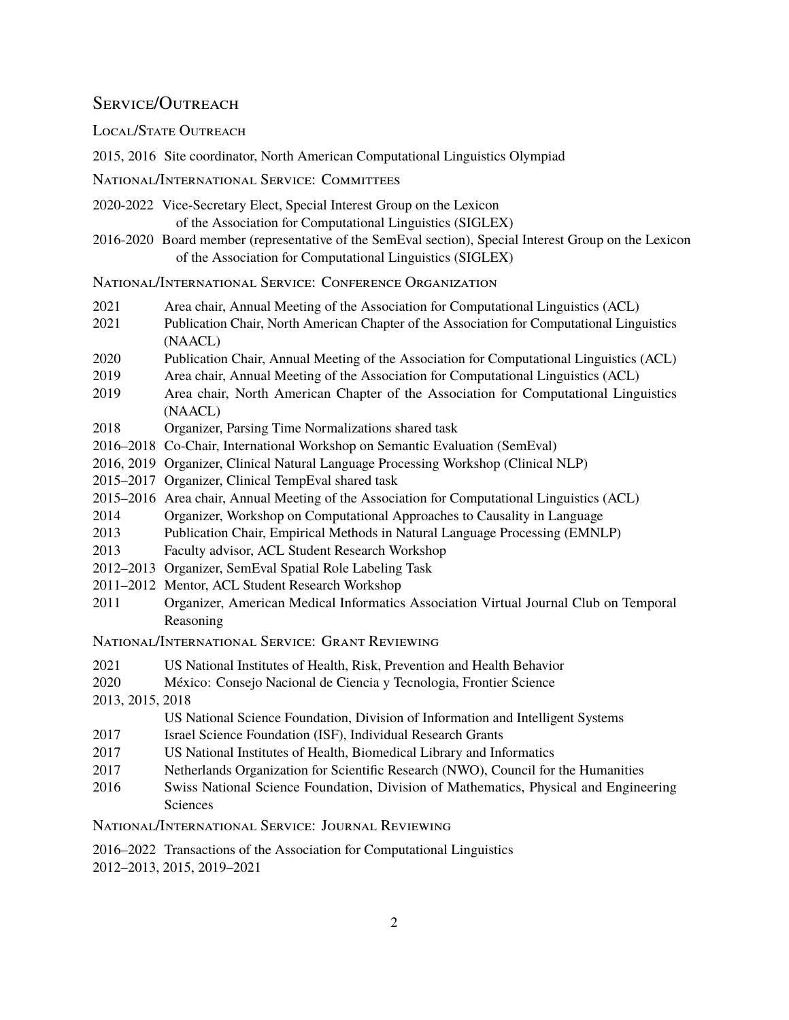## SERVICE/OUTREACH

LOCAL/STATE OUTREACH

2015, 2016 Site coordinator, North American Computational Linguistics Olympiad

National/International Service: Committees

2020-2022 Vice-Secretary Elect, Special Interest Group on the Lexicon of the Association for Computational Linguistics (SIGLEX)

2016-2020 Board member (representative of the SemEval section), Special Interest Group on the Lexicon of the Association for Computational Linguistics (SIGLEX)

National/International Service: Conference Organization

- 2021 Area chair, Annual Meeting of the Association for Computational Linguistics (ACL)
- 2021 Publication Chair, North American Chapter of the Association for Computational Linguistics (NAACL)
- 2020 Publication Chair, Annual Meeting of the Association for Computational Linguistics (ACL)
- 2019 Area chair, Annual Meeting of the Association for Computational Linguistics (ACL)
- 2019 Area chair, North American Chapter of the Association for Computational Linguistics (NAACL)
- 2018 Organizer, Parsing Time Normalizations shared task
- 2016–2018 Co-Chair, International Workshop on Semantic Evaluation (SemEval)
- 2016, 2019 Organizer, Clinical Natural Language Processing Workshop (Clinical NLP)
- 2015–2017 Organizer, Clinical TempEval shared task
- 2015–2016 Area chair, Annual Meeting of the Association for Computational Linguistics (ACL)
- 2014 Organizer, Workshop on Computational Approaches to Causality in Language
- 2013 Publication Chair, Empirical Methods in Natural Language Processing (EMNLP)
- 2013 Faculty advisor, ACL Student Research Workshop
- 2012–2013 Organizer, SemEval Spatial Role Labeling Task
- 2011–2012 Mentor, ACL Student Research Workshop
- 2011 Organizer, American Medical Informatics Association Virtual Journal Club on Temporal Reasoning

National/International Service: Grant Reviewing

- 2021 US National Institutes of Health, Risk, Prevention and Health Behavior
- 2020 México: Consejo Nacional de Ciencia y Tecnologia, Frontier Science
- 2013, 2015, 2018

```
US National Science Foundation, Division of Information and Intelligent Systems
```
- 2017 Israel Science Foundation (ISF), Individual Research Grants
- 2017 US National Institutes of Health, Biomedical Library and Informatics
- 2017 Netherlands Organization for Scientific Research (NWO), Council for the Humanities
- 2016 Swiss National Science Foundation, Division of Mathematics, Physical and Engineering **Sciences**

National/International Service: Journal Reviewing

2016–2022 Transactions of the Association for Computational Linguistics

2012–2013, 2015, 2019–2021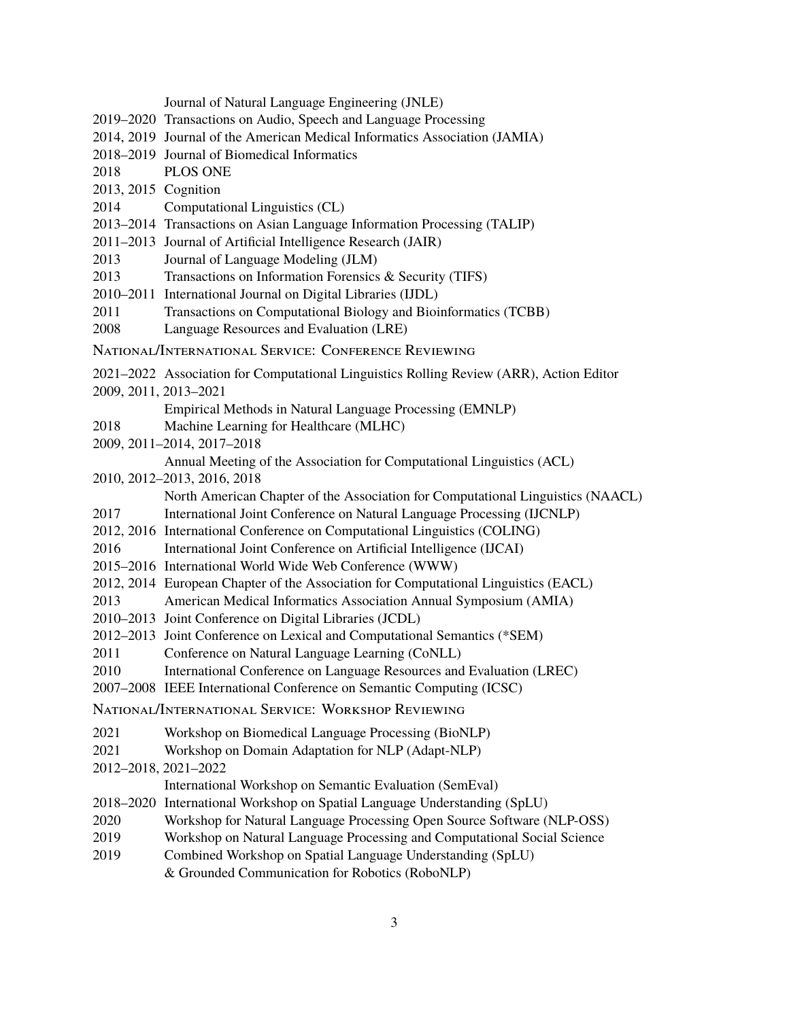|                      | Journal of Natural Language Engineering (JNLE)                                          |
|----------------------|-----------------------------------------------------------------------------------------|
|                      | 2019–2020 Transactions on Audio, Speech and Language Processing                         |
|                      | 2014, 2019 Journal of the American Medical Informatics Association (JAMIA)              |
|                      | 2018–2019 Journal of Biomedical Informatics                                             |
| 2018                 | PLOS ONE                                                                                |
| 2013, 2015 Cognition |                                                                                         |
| 2014                 | Computational Linguistics (CL)                                                          |
|                      | 2013-2014 Transactions on Asian Language Information Processing (TALIP)                 |
|                      | 2011–2013 Journal of Artificial Intelligence Research (JAIR)                            |
| 2013                 | Journal of Language Modeling (JLM)                                                      |
| 2013                 | Transactions on Information Forensics & Security (TIFS)                                 |
|                      | 2010-2011 International Journal on Digital Libraries (IJDL)                             |
| 2011                 | Transactions on Computational Biology and Bioinformatics (TCBB)                         |
| 2008                 | Language Resources and Evaluation (LRE)                                                 |
|                      | NATIONAL/INTERNATIONAL SERVICE: CONFERENCE REVIEWING                                    |
|                      | 2021–2022 Association for Computational Linguistics Rolling Review (ARR), Action Editor |
|                      | 2009, 2011, 2013-2021                                                                   |
|                      | Empirical Methods in Natural Language Processing (EMNLP)                                |
| 2018                 | Machine Learning for Healthcare (MLHC)                                                  |
|                      | 2009, 2011-2014, 2017-2018                                                              |
|                      | Annual Meeting of the Association for Computational Linguistics (ACL)                   |
|                      | 2010, 2012-2013, 2016, 2018                                                             |
|                      | North American Chapter of the Association for Computational Linguistics (NAACL)         |
| 2017                 | International Joint Conference on Natural Language Processing (IJCNLP)                  |
|                      | 2012, 2016 International Conference on Computational Linguistics (COLING)               |
| 2016                 | International Joint Conference on Artificial Intelligence (IJCAI)                       |
|                      | 2015-2016 International World Wide Web Conference (WWW)                                 |
|                      | 2012, 2014 European Chapter of the Association for Computational Linguistics (EACL)     |
| 2013                 | American Medical Informatics Association Annual Symposium (AMIA)                        |
|                      | 2010-2013 Joint Conference on Digital Libraries (JCDL)                                  |
|                      | 2012–2013 Joint Conference on Lexical and Computational Semantics (*SEM)                |
| 2011                 | Conference on Natural Language Learning (CoNLL)                                         |
| 2010                 | International Conference on Language Resources and Evaluation (LREC)                    |
|                      | 2007–2008 IEEE International Conference on Semantic Computing (ICSC)                    |
|                      | NATIONAL/INTERNATIONAL SERVICE: WORKSHOP REVIEWING                                      |
| 2021                 | Workshop on Biomedical Language Processing (BioNLP)                                     |
| 2021                 | Workshop on Domain Adaptation for NLP (Adapt-NLP)                                       |
|                      | 2012-2018, 2021-2022                                                                    |
|                      | International Workshop on Semantic Evaluation (SemEval)                                 |
|                      | 2018-2020 International Workshop on Spatial Language Understanding (SpLU)               |
| 2020                 | Workshop for Natural Language Processing Open Source Software (NLP-OSS)                 |
| 2019                 | Workshop on Natural Language Processing and Computational Social Science                |
| 2019                 | Combined Workshop on Spatial Language Understanding (SpLU)                              |

& Grounded Communication for Robotics (RoboNLP)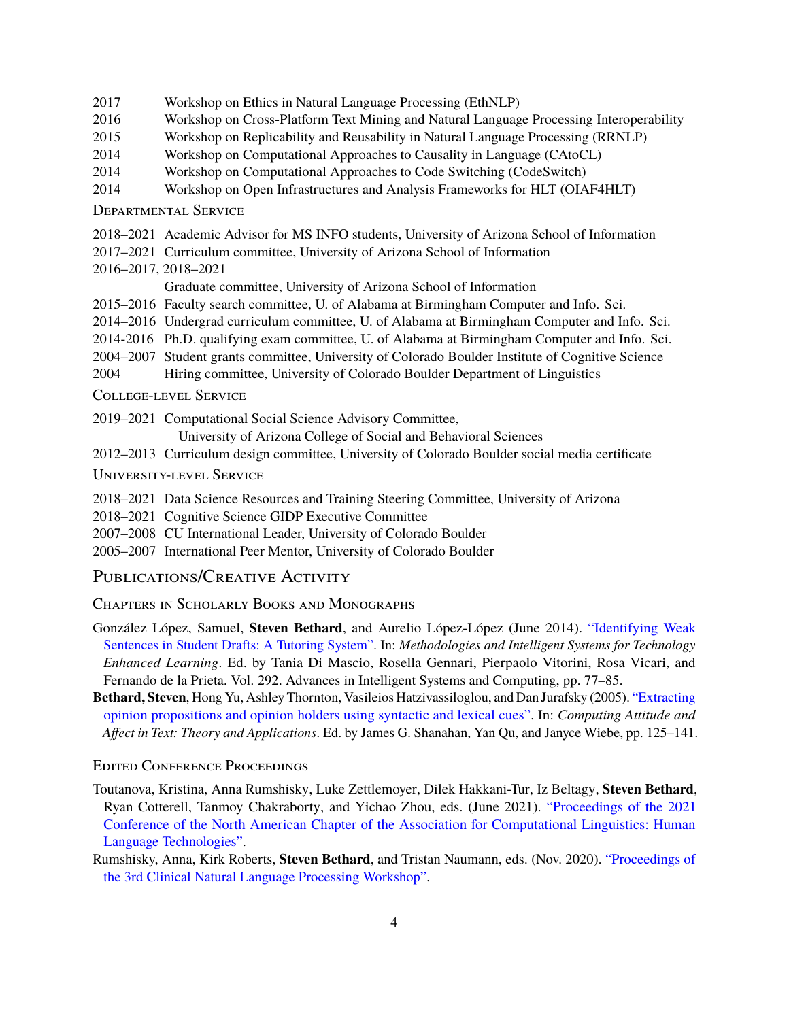- 2017 Workshop on Ethics in Natural Language Processing (EthNLP)
- 2016 Workshop on Cross-Platform Text Mining and Natural Language Processing Interoperability
- 2015 Workshop on Replicability and Reusability in Natural Language Processing (RRNLP)
- 2014 Workshop on Computational Approaches to Causality in Language (CAtoCL)
- 2014 Workshop on Computational Approaches to Code Switching (CodeSwitch)
- 2014 Workshop on Open Infrastructures and Analysis Frameworks for HLT (OIAF4HLT)

#### Departmental Service

- 2018–2021 Academic Advisor for MS INFO students, University of Arizona School of Information
- 2017–2021 Curriculum committee, University of Arizona School of Information
- 2016–2017, 2018–2021

Graduate committee, University of Arizona School of Information

- 2015–2016 Faculty search committee, U. of Alabama at Birmingham Computer and Info. Sci.
- 2014–2016 Undergrad curriculum committee, U. of Alabama at Birmingham Computer and Info. Sci.
- 2014-2016 Ph.D. qualifying exam committee, U. of Alabama at Birmingham Computer and Info. Sci.
- 2004–2007 Student grants committee, University of Colorado Boulder Institute of Cognitive Science
- 2004 Hiring committee, University of Colorado Boulder Department of Linguistics
- College-level Service
- 2019–2021 Computational Social Science Advisory Committee,

University of Arizona College of Social and Behavioral Sciences

- 2012–2013 Curriculum design committee, University of Colorado Boulder social media certificate
- University-level Service
- 2018–2021 Data Science Resources and Training Steering Committee, University of Arizona
- 2018–2021 Cognitive Science GIDP Executive Committee
- 2007–2008 CU International Leader, University of Colorado Boulder
- 2005–2007 International Peer Mentor, University of Colorado Boulder

### PUBLICATIONS/CREATIVE ACTIVITY

### Chapters in Scholarly Books and Monographs

- González López, Samuel, **Steven Bethard**, and Aurelio López-López (June 2014). ["Identifying Weak](http://dx.doi.org/10.1007/978-3-319-07698-0_10) [Sentences in Student Drafts: A Tutoring System".](http://dx.doi.org/10.1007/978-3-319-07698-0_10) In: *Methodologies and Intelligent Systems for Technology Enhanced Learning*. Ed. by Tania Di Mascio, Rosella Gennari, Pierpaolo Vitorini, Rosa Vicari, and Fernando de la Prieta. Vol. 292. Advances in Intelligent Systems and Computing, pp. 77–85.
- **Bethard, Steven**, Hong Yu, Ashley Thornton, Vasileios Hatzivassiloglou, and Dan Jurafsky (2005). ["Extracting](http://www.springer.com/computer/book/978-1-4020-4026-9) [opinion propositions and opinion holders using syntactic and lexical cues".](http://www.springer.com/computer/book/978-1-4020-4026-9) In: *Computing Attitude and Affect in Text: Theory and Applications*. Ed. by James G. Shanahan, Yan Qu, and Janyce Wiebe, pp. 125–141.

### Edited Conference Proceedings

- Toutanova, Kristina, Anna Rumshisky, Luke Zettlemoyer, Dilek Hakkani-Tur, Iz Beltagy, **Steven Bethard**, Ryan Cotterell, Tanmoy Chakraborty, and Yichao Zhou, eds. (June 2021). ["Proceedings of the 2021](https://www.aclweb.org/anthology/2021.naacl-main.0) [Conference of the North American Chapter of the Association for Computational Linguistics: Human](https://www.aclweb.org/anthology/2021.naacl-main.0) [Language Technologies".](https://www.aclweb.org/anthology/2021.naacl-main.0)
- Rumshisky, Anna, Kirk Roberts, **Steven Bethard**, and Tristan Naumann, eds. (Nov. 2020). ["Proceedings of](https://www.aclweb.org/anthology/2020.clinicalnlp-1.0) [the 3rd Clinical Natural Language Processing Workshop".](https://www.aclweb.org/anthology/2020.clinicalnlp-1.0)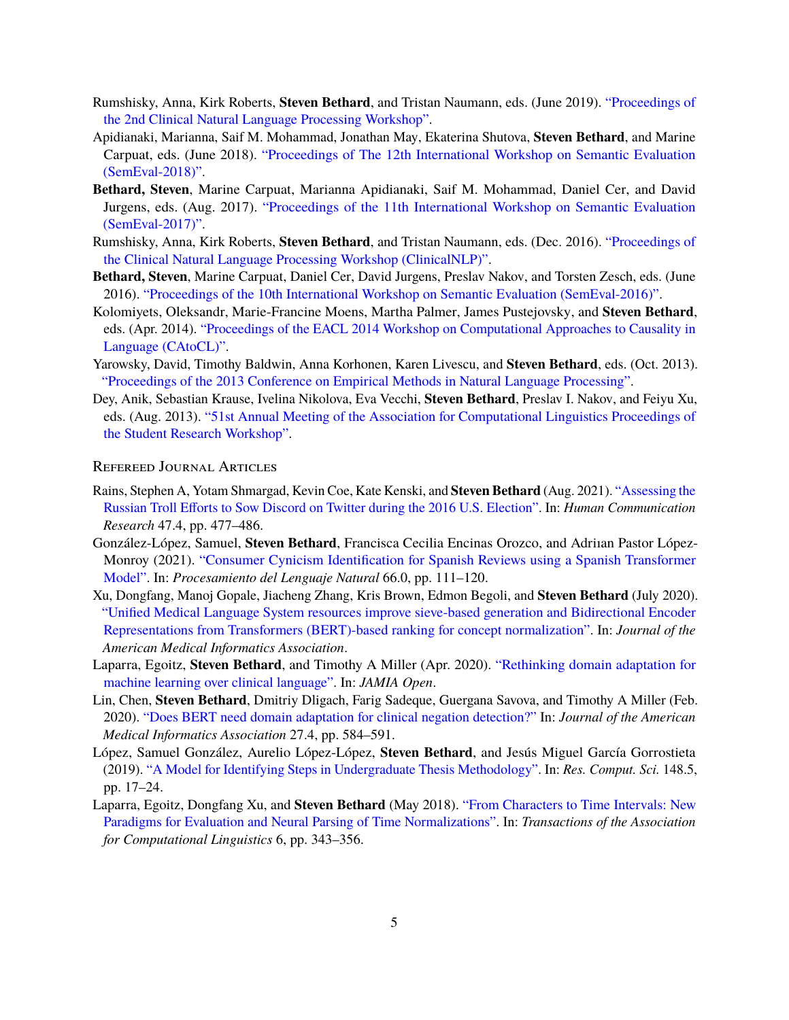- Rumshisky, Anna, Kirk Roberts, **Steven Bethard**, and Tristan Naumann, eds. (June 2019). ["Proceedings of](http://www.aclweb.org/anthology/W19-19) [the 2nd Clinical Natural Language Processing Workshop".](http://www.aclweb.org/anthology/W19-19)
- Apidianaki, Marianna, Saif M. Mohammad, Jonathan May, Ekaterina Shutova, **Steven Bethard**, and Marine Carpuat, eds. (June 2018). ["Proceedings of The 12th International Workshop on Semantic Evaluation](http://www.aclweb.org/anthology/S18-1) [\(SemEval-2018\)".](http://www.aclweb.org/anthology/S18-1)
- **Bethard, Steven**, Marine Carpuat, Marianna Apidianaki, Saif M. Mohammad, Daniel Cer, and David Jurgens, eds. (Aug. 2017). ["Proceedings of the 11th International Workshop on Semantic Evaluation](http://www.aclweb.org/anthology/S17-2) [\(SemEval-2017\)".](http://www.aclweb.org/anthology/S17-2)
- Rumshisky, Anna, Kirk Roberts, **Steven Bethard**, and Tristan Naumann, eds. (Dec. 2016). ["Proceedings of](http://aclweb.org/anthology/W16-42) [the Clinical Natural Language Processing Workshop \(ClinicalNLP\)".](http://aclweb.org/anthology/W16-42)
- **Bethard, Steven**, Marine Carpuat, Daniel Cer, David Jurgens, Preslav Nakov, and Torsten Zesch, eds. (June 2016). ["Proceedings of the 10th International Workshop on Semantic Evaluation \(SemEval-2016\)".](http://www.aclweb.org/anthology/S16-1)
- Kolomiyets, Oleksandr, Marie-Francine Moens, Martha Palmer, James Pustejovsky, and **Steven Bethard**, eds. (Apr. 2014). ["Proceedings of the EACL 2014 Workshop on Computational Approaches to Causality in](http://www.aclweb.org/anthology/W14-07) [Language \(CAtoCL\)".](http://www.aclweb.org/anthology/W14-07)
- Yarowsky, David, Timothy Baldwin, Anna Korhonen, Karen Livescu, and **Steven Bethard**, eds. (Oct. 2013). ["Proceedings of the 2013 Conference on Empirical Methods in Natural Language Processing".](http://www.aclweb.org/anthology/D13-1)
- Dey, Anik, Sebastian Krause, Ivelina Nikolova, Eva Vecchi, **Steven Bethard**, Preslav I. Nakov, and Feiyu Xu, eds. (Aug. 2013). ["51st Annual Meeting of the Association for Computational Linguistics Proceedings of](http://www.aclweb.org/anthology/P13-3) [the Student Research Workshop".](http://www.aclweb.org/anthology/P13-3)

### Refereed Journal Articles

- Rains, Stephen A, Yotam Shmargad, Kevin Coe, Kate Kenski, and **Steven Bethard** (Aug. 2021). ["Assessing the](https://doi.org/10.1093/hcr/hqab009) [Russian Troll Efforts to Sow Discord on Twitter during the 2016 U.S. Election".](https://doi.org/10.1093/hcr/hqab009) In: *Human Communication Research* 47.4, pp. 477–486.
- González-López, Samuel, **Steven Bethard**, Francisca Cecilia Encinas Orozco, and Adriıan Pastor López-Monroy (2021). ["Consumer Cynicism Identification for Spanish Reviews using a Spanish Transformer](http://journal.sepln.org/sepln/ojs/ojs/index.php/pln/article/view/6327) [Model".](http://journal.sepln.org/sepln/ojs/ojs/index.php/pln/article/view/6327) In: *Procesamiento del Lenguaje Natural* 66.0, pp. 111–120.
- Xu, Dongfang, Manoj Gopale, Jiacheng Zhang, Kris Brown, Edmon Begoli, and **Steven Bethard** (July 2020). ["Unified Medical Language System resources improve sieve-based generation and Bidirectional Encoder](https://doi.org/10.1093/jamia/ocaa080) [Representations from Transformers \(BERT\)-based ranking for concept normalization".](https://doi.org/10.1093/jamia/ocaa080) In: *Journal of the American Medical Informatics Association*.
- Laparra, Egoitz, **Steven Bethard**, and Timothy A Miller (Apr. 2020). ["Rethinking domain adaptation for](https://doi.org/10.1093/jamiaopen/ooaa010) [machine learning over clinical language".](https://doi.org/10.1093/jamiaopen/ooaa010) In: *JAMIA Open*.
- Lin, Chen, **Steven Bethard**, Dmitriy Dligach, Farig Sadeque, Guergana Savova, and Timothy A Miller (Feb. 2020). ["Does BERT need domain adaptation for clinical negation detection?"](https://doi.org/10.1093/jamia/ocaa001) In: *Journal of the American Medical Informatics Association* 27.4, pp. 584–591.
- López, Samuel González, Aurelio López-López, **Steven Bethard**, and Jesús Miguel García Gorrostieta (2019). ["A Model for Identifying Steps in Undergraduate Thesis Methodology".](http://rcs.cic.ipn.mx/2019%5C_148%5C_5/A%5C%20Model%5C%20for%5C%20Identifying%5C%20Steps%5C%20in%5C%20Undergraduate%5C%20Thesis%5C%20Methodology.pdf) In: *Res. Comput. Sci.* 148.5, pp. 17–24.
- Laparra, Egoitz, Dongfang Xu, and **Steven Bethard** (May 2018). ["From Characters to Time Intervals: New](https://transacl.org/ojs/index.php/tacl/article/view/1318) [Paradigms for Evaluation and Neural Parsing of Time Normalizations".](https://transacl.org/ojs/index.php/tacl/article/view/1318) In: *Transactions of the Association for Computational Linguistics* 6, pp. 343–356.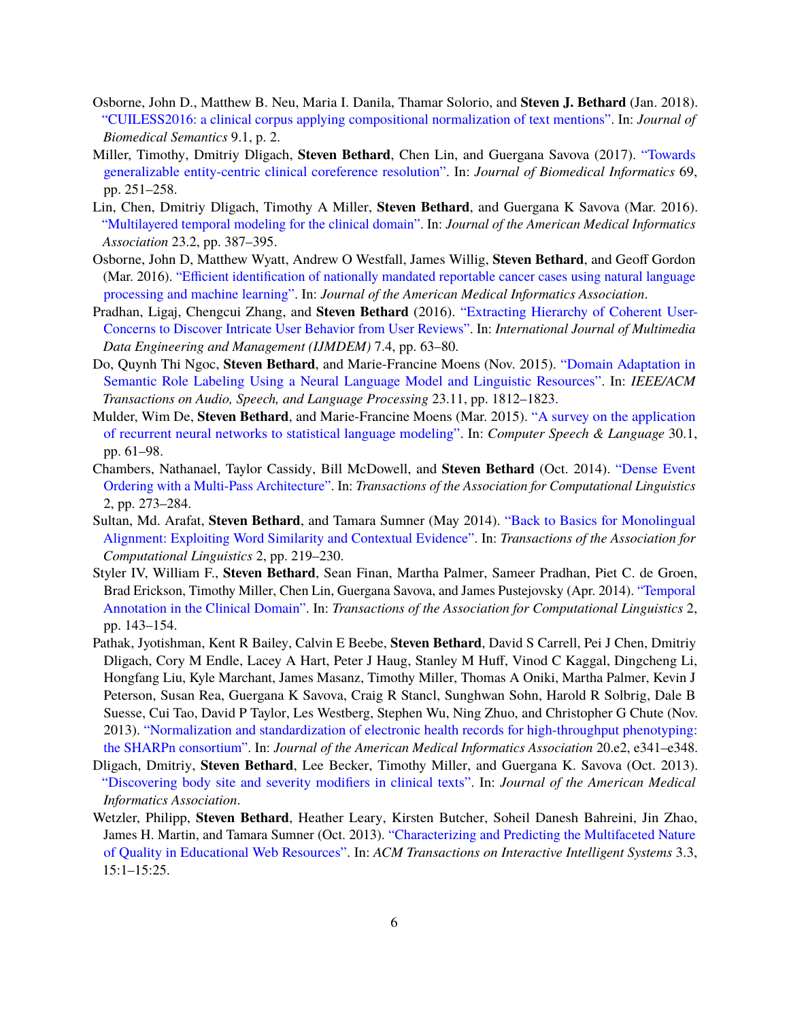- Osborne, John D., Matthew B. Neu, Maria I. Danila, Thamar Solorio, and **Steven J. Bethard** (Jan. 2018). ["CUILESS2016: a clinical corpus applying compositional normalization of text mentions".](https://doi.org/10.1186/s13326-017-0173-6) In: *Journal of Biomedical Semantics* 9.1, p. 2.
- Miller, Timothy, Dmitriy Dligach, **Steven Bethard**, Chen Lin, and Guergana Savova (2017). ["Towards](http://www.sciencedirect.com/science/article/pii/S1532046417300850) [generalizable entity-centric clinical coreference resolution".](http://www.sciencedirect.com/science/article/pii/S1532046417300850) In: *Journal of Biomedical Informatics* 69, pp. 251–258.
- Lin, Chen, Dmitriy Dligach, Timothy A Miller, **Steven Bethard**, and Guergana K Savova (Mar. 2016). ["Multilayered temporal modeling for the clinical domain".](http://jamia.oxfordjournals.org/content/23/2/387) In: *Journal of the American Medical Informatics Association* 23.2, pp. 387–395.
- Osborne, John D, Matthew Wyatt, Andrew O Westfall, James Willig, **Steven Bethard**, and Geoff Gordon (Mar. 2016). ["Efficient identification of nationally mandated reportable cancer cases using natural language](http://jamia.oxfordjournals.org/content/early/2016/03/28/jamia.ocw006) [processing and machine learning".](http://jamia.oxfordjournals.org/content/early/2016/03/28/jamia.ocw006) In: *Journal of the American Medical Informatics Association*.
- Pradhan, Ligaj, Chengcui Zhang, and **Steven Bethard** (2016). ["Extracting Hierarchy of Coherent User-](https://dx.doi.org/10.4018/IJMDEM.2016100104)[Concerns to Discover Intricate User Behavior from User Reviews".](https://dx.doi.org/10.4018/IJMDEM.2016100104) In: *International Journal of Multimedia Data Engineering and Management (IJMDEM)* 7.4, pp. 63–80.
- Do, Quynh Thi Ngoc, **Steven Bethard**, and Marie-Francine Moens (Nov. 2015). ["Domain Adaptation in](https://doi.org/10.1109/TASLP.2015.2449072) [Semantic Role Labeling Using a Neural Language Model and Linguistic Resources".](https://doi.org/10.1109/TASLP.2015.2449072) In: *IEEE/ACM Transactions on Audio, Speech, and Language Processing* 23.11, pp. 1812–1823.
- Mulder, Wim De, **Steven Bethard**, and Marie-Francine Moens (Mar. 2015). ["A survey on the application](http://dx.doi.org/10.1016/j.csl.2014.09.005) [of recurrent neural networks to statistical language modeling".](http://dx.doi.org/10.1016/j.csl.2014.09.005) In: *Computer Speech & Language* 30.1, pp. 61–98.
- Chambers, Nathanael, Taylor Cassidy, Bill McDowell, and **Steven Bethard** (Oct. 2014). ["Dense Event](https://tacl2013.cs.columbia.edu/ojs/index.php/tacl/article/view/255) [Ordering with a Multi-Pass Architecture".](https://tacl2013.cs.columbia.edu/ojs/index.php/tacl/article/view/255) In: *Transactions of the Association for Computational Linguistics* 2, pp. 273–284.
- Sultan, Md. Arafat, **Steven Bethard**, and Tamara Sumner (May 2014). ["Back to Basics for Monolingual](https://tacl2013.cs.columbia.edu/ojs/index.php/tacl/article/view/292) [Alignment: Exploiting Word Similarity and Contextual Evidence".](https://tacl2013.cs.columbia.edu/ojs/index.php/tacl/article/view/292) In: *Transactions of the Association for Computational Linguistics* 2, pp. 219–230.
- Styler IV, William F., **Steven Bethard**, Sean Finan, Martha Palmer, Sameer Pradhan, Piet C. de Groen, Brad Erickson, Timothy Miller, Chen Lin, Guergana Savova, and James Pustejovsky (Apr. 2014). ["Temporal](https://tacl2013.cs.columbia.edu/ojs/index.php/tacl/article/view/305) [Annotation in the Clinical Domain".](https://tacl2013.cs.columbia.edu/ojs/index.php/tacl/article/view/305) In: *Transactions of the Association for Computational Linguistics* 2, pp. 143–154.
- Pathak, Jyotishman, Kent R Bailey, Calvin E Beebe, **Steven Bethard**, David S Carrell, Pei J Chen, Dmitriy Dligach, Cory M Endle, Lacey A Hart, Peter J Haug, Stanley M Huff, Vinod C Kaggal, Dingcheng Li, Hongfang Liu, Kyle Marchant, James Masanz, Timothy Miller, Thomas A Oniki, Martha Palmer, Kevin J Peterson, Susan Rea, Guergana K Savova, Craig R Stancl, Sunghwan Sohn, Harold R Solbrig, Dale B Suesse, Cui Tao, David P Taylor, Les Westberg, Stephen Wu, Ning Zhuo, and Christopher G Chute (Nov. 2013). ["Normalization and standardization of electronic health records for high-throughput phenotyping:](http://dx.doi.org/10.1136/amiajnl-2013-001939) [the SHARPn consortium".](http://dx.doi.org/10.1136/amiajnl-2013-001939) In: *Journal of the American Medical Informatics Association* 20.e2, e341–e348.
- Dligach, Dmitriy, **Steven Bethard**, Lee Becker, Timothy Miller, and Guergana K. Savova (Oct. 2013). ["Discovering body site and severity modifiers in clinical texts".](http://dx.doi.org/10.1136/amiajnl-2013-001766) In: *Journal of the American Medical Informatics Association*.
- Wetzler, Philipp, **Steven Bethard**, Heather Leary, Kirsten Butcher, Soheil Danesh Bahreini, Jin Zhao, James H. Martin, and Tamara Sumner (Oct. 2013). ["Characterizing and Predicting the Multifaceted Nature](http://dl.acm.org/authorize?N89675) [of Quality in Educational Web Resources".](http://dl.acm.org/authorize?N89675) In: *ACM Transactions on Interactive Intelligent Systems* 3.3, 15:1–15:25.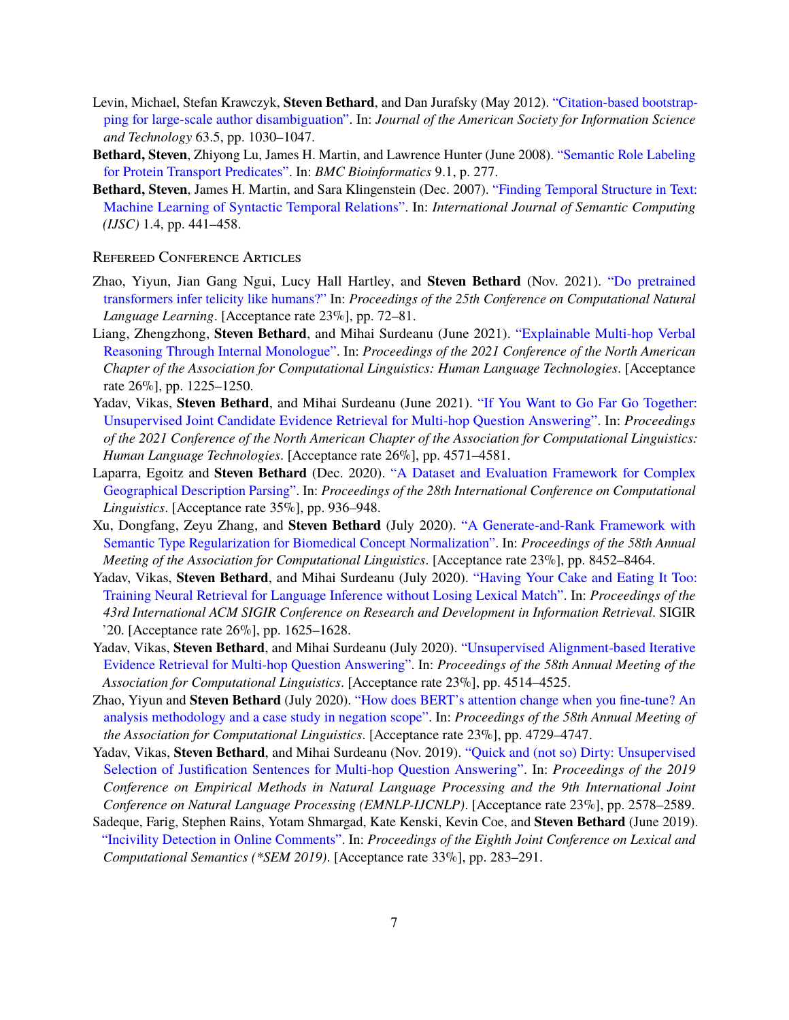- Levin, Michael, Stefan Krawczyk, **Steven Bethard**, and Dan Jurafsky (May 2012). ["Citation-based bootstrap](http://dx.doi.org/10.1002/asi.22621)[ping for large-scale author disambiguation".](http://dx.doi.org/10.1002/asi.22621) In: *Journal of the American Society for Information Science and Technology* 63.5, pp. 1030–1047.
- **Bethard, Steven**, Zhiyong Lu, James H. Martin, and Lawrence Hunter (June 2008). ["Semantic Role Labeling](http://www.biomedcentral.com/1471-2105/9/277) [for Protein Transport Predicates".](http://www.biomedcentral.com/1471-2105/9/277) In: *BMC Bioinformatics* 9.1, p. 277.
- **Bethard, Steven**, James H. Martin, and Sara Klingenstein (Dec. 2007). ["Finding Temporal Structure in Text:](http://dx.doi.org/10.1142/S1793351X07000238) [Machine Learning of Syntactic Temporal Relations".](http://dx.doi.org/10.1142/S1793351X07000238) In: *International Journal of Semantic Computing (IJSC)* 1.4, pp. 441–458.

#### Refereed Conference Articles

- Zhao, Yiyun, Jian Gang Ngui, Lucy Hall Hartley, and **Steven Bethard** (Nov. 2021). ["Do pretrained](https://aclanthology.org/2021.conll-1.6) [transformers infer telicity like humans?"](https://aclanthology.org/2021.conll-1.6) In: *Proceedings of the 25th Conference on Computational Natural Language Learning*. [Acceptance rate 23%], pp. 72–81.
- Liang, Zhengzhong, **Steven Bethard**, and Mihai Surdeanu (June 2021). ["Explainable Multi-hop Verbal](https://www.aclweb.org/anthology/2021.naacl-main.97) [Reasoning Through Internal Monologue".](https://www.aclweb.org/anthology/2021.naacl-main.97) In: *Proceedings of the 2021 Conference of the North American Chapter of the Association for Computational Linguistics: Human Language Technologies*. [Acceptance rate 26%], pp. 1225–1250.
- Yadav, Vikas, **Steven Bethard**, and Mihai Surdeanu (June 2021). ["If You Want to Go Far Go Together:](https://www.aclweb.org/anthology/2021.naacl-main.363) [Unsupervised Joint Candidate Evidence Retrieval for Multi-hop Question Answering".](https://www.aclweb.org/anthology/2021.naacl-main.363) In: *Proceedings of the 2021 Conference of the North American Chapter of the Association for Computational Linguistics: Human Language Technologies*. [Acceptance rate 26%], pp. 4571–4581.
- Laparra, Egoitz and **Steven Bethard** (Dec. 2020). ["A Dataset and Evaluation Framework for Complex](https://www.aclweb.org/anthology/2020.coling-main.81) [Geographical Description Parsing".](https://www.aclweb.org/anthology/2020.coling-main.81) In: *Proceedings of the 28th International Conference on Computational Linguistics*. [Acceptance rate 35%], pp. 936–948.
- Xu, Dongfang, Zeyu Zhang, and **Steven Bethard** (July 2020). ["A Generate-and-Rank Framework with](https://www.aclweb.org/anthology/2020.acl-main.748) [Semantic Type Regularization for Biomedical Concept Normalization".](https://www.aclweb.org/anthology/2020.acl-main.748) In: *Proceedings of the 58th Annual Meeting of the Association for Computational Linguistics*. [Acceptance rate 23%], pp. 8452–8464.
- Yadav, Vikas, **Steven Bethard**, and Mihai Surdeanu (July 2020). ["Having Your Cake and Eating It Too:](https://doi.org/10.1145/3397271.3401311) [Training Neural Retrieval for Language Inference without Losing Lexical Match".](https://doi.org/10.1145/3397271.3401311) In: *Proceedings of the 43rd International ACM SIGIR Conference on Research and Development in Information Retrieval*. SIGIR '20. [Acceptance rate 26%], pp. 1625–1628.
- Yadav, Vikas, **Steven Bethard**, and Mihai Surdeanu (July 2020). ["Unsupervised Alignment-based Iterative](https://www.aclweb.org/anthology/2020.acl-main.414) [Evidence Retrieval for Multi-hop Question Answering".](https://www.aclweb.org/anthology/2020.acl-main.414) In: *Proceedings of the 58th Annual Meeting of the Association for Computational Linguistics*. [Acceptance rate 23%], pp. 4514–4525.
- Zhao, Yiyun and **Steven Bethard** (July 2020). ["How does BERT's attention change when you fine-tune? An](https://www.aclweb.org/anthology/2020.acl-main.429) [analysis methodology and a case study in negation scope".](https://www.aclweb.org/anthology/2020.acl-main.429) In: *Proceedings of the 58th Annual Meeting of the Association for Computational Linguistics*. [Acceptance rate 23%], pp. 4729–4747.
- Yadav, Vikas, **Steven Bethard**, and Mihai Surdeanu (Nov. 2019). ["Quick and \(not so\) Dirty: Unsupervised](https://www.aclweb.org/anthology/D19-1260) [Selection of Justification Sentences for Multi-hop Question Answering".](https://www.aclweb.org/anthology/D19-1260) In: *Proceedings of the 2019 Conference on Empirical Methods in Natural Language Processing and the 9th International Joint Conference on Natural Language Processing (EMNLP-IJCNLP)*. [Acceptance rate 23%], pp. 2578–2589.
- Sadeque, Farig, Stephen Rains, Yotam Shmargad, Kate Kenski, Kevin Coe, and **Steven Bethard** (June 2019). ["Incivility Detection in Online Comments".](http://www.aclweb.org/anthology/S19-1031) In: *Proceedings of the Eighth Joint Conference on Lexical and Computational Semantics (\*SEM 2019)*. [Acceptance rate 33%], pp. 283–291.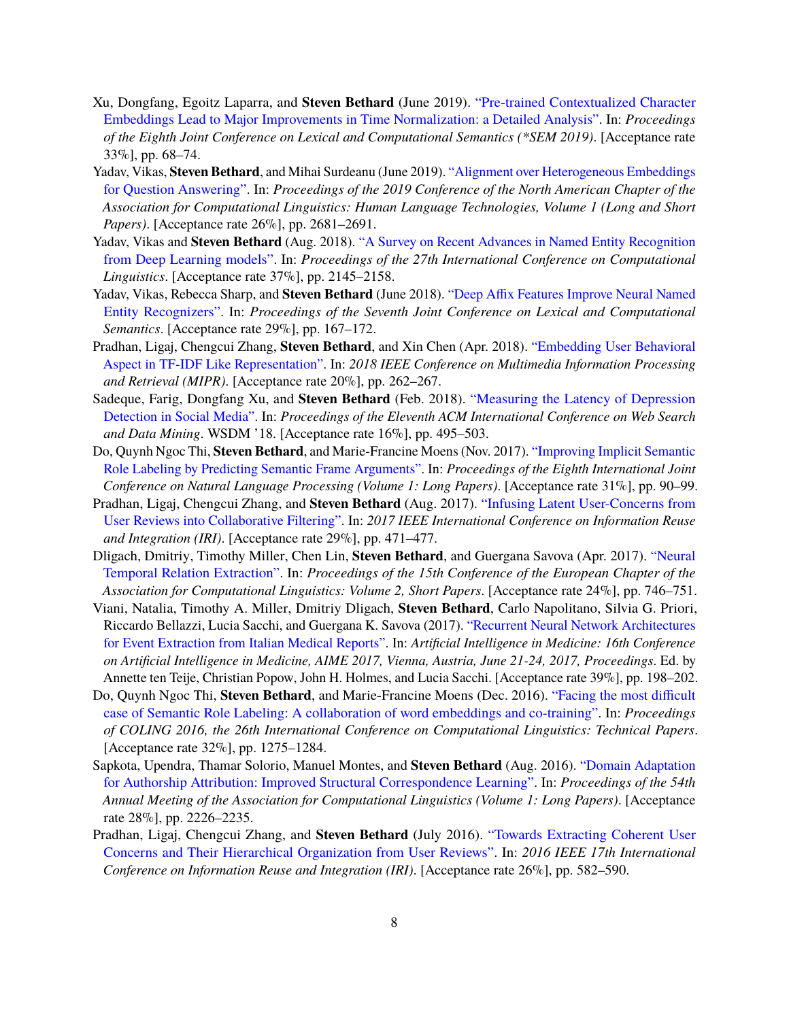- Xu, Dongfang, Egoitz Laparra, and **Steven Bethard** (June 2019). ["Pre-trained Contextualized Character](http://www.aclweb.org/anthology/S19-1008) [Embeddings Lead to Major Improvements in Time Normalization: a Detailed Analysis".](http://www.aclweb.org/anthology/S19-1008) In: *Proceedings of the Eighth Joint Conference on Lexical and Computational Semantics (\*SEM 2019)*. [Acceptance rate 33%], pp. 68–74.
- Yadav, Vikas, **Steven Bethard**, and Mihai Surdeanu (June 2019). ["Alignment over Heterogeneous Embeddings](http://www.aclweb.org/anthology/N19-1274) [for Question Answering".](http://www.aclweb.org/anthology/N19-1274) In: *Proceedings of the 2019 Conference of the North American Chapter of the Association for Computational Linguistics: Human Language Technologies, Volume 1 (Long and Short Papers)*. [Acceptance rate 26%], pp. 2681–2691.
- Yadav, Vikas and **Steven Bethard** (Aug. 2018). ["A Survey on Recent Advances in Named Entity Recognition](http://www.aclweb.org/anthology/C18-1182) [from Deep Learning models".](http://www.aclweb.org/anthology/C18-1182) In: *Proceedings of the 27th International Conference on Computational Linguistics*. [Acceptance rate 37%], pp. 2145–2158.
- Yadav, Vikas, Rebecca Sharp, and **Steven Bethard** (June 2018). ["Deep Affix Features Improve Neural Named](http://www.aclweb.org/anthology/S18-2021) [Entity Recognizers".](http://www.aclweb.org/anthology/S18-2021) In: *Proceedings of the Seventh Joint Conference on Lexical and Computational Semantics*. [Acceptance rate 29%], pp. 167–172.
- Pradhan, Ligaj, Chengcui Zhang, **Steven Bethard**, and Xin Chen (Apr. 2018). ["Embedding User Behavioral](http://doi.org/10.1109/MIPR.2018.00061) [Aspect in TF-IDF Like Representation".](http://doi.org/10.1109/MIPR.2018.00061) In: *2018 IEEE Conference on Multimedia Information Processing and Retrieval (MIPR)*. [Acceptance rate 20%], pp. 262–267.
- Sadeque, Farig, Dongfang Xu, and **Steven Bethard** (Feb. 2018). ["Measuring the Latency of Depression](http://doi.acm.org/10.1145/3159652.3159725) [Detection in Social Media".](http://doi.acm.org/10.1145/3159652.3159725) In: *Proceedings of the Eleventh ACM International Conference on Web Search and Data Mining*. WSDM '18. [Acceptance rate 16%], pp. 495–503.
- Do, Quynh Ngoc Thi, **Steven Bethard**, and Marie-Francine Moens (Nov. 2017). ["Improving Implicit Semantic](http://www.aclweb.org/anthology/I17-1010) [Role Labeling by Predicting Semantic Frame Arguments".](http://www.aclweb.org/anthology/I17-1010) In: *Proceedings of the Eighth International Joint Conference on Natural Language Processing (Volume 1: Long Papers)*. [Acceptance rate 31%], pp. 90–99.
- Pradhan, Ligaj, Chengcui Zhang, and **Steven Bethard** (Aug. 2017). ["Infusing Latent User-Concerns from](http://doi.ieeecomputersociety.org/10.1109/IRI.2017.24) [User Reviews into Collaborative Filtering".](http://doi.ieeecomputersociety.org/10.1109/IRI.2017.24) In: *2017 IEEE International Conference on Information Reuse and Integration (IRI)*. [Acceptance rate 29%], pp. 471–477.
- Dligach, Dmitriy, Timothy Miller, Chen Lin, **Steven Bethard**, and Guergana Savova (Apr. 2017). ["Neural](http://www.aclweb.org/anthology/E17-2118) [Temporal Relation Extraction".](http://www.aclweb.org/anthology/E17-2118) In: *Proceedings of the 15th Conference of the European Chapter of the Association for Computational Linguistics: Volume 2, Short Papers*. [Acceptance rate 24%], pp. 746–751.
- Viani, Natalia, Timothy A. Miller, Dmitriy Dligach, **Steven Bethard**, Carlo Napolitano, Silvia G. Priori, Riccardo Bellazzi, Lucia Sacchi, and Guergana K. Savova (2017). ["Recurrent Neural Network Architectures](https://doi.org/10.1007/978-3-319-59758-4_21) [for Event Extraction from Italian Medical Reports".](https://doi.org/10.1007/978-3-319-59758-4_21) In: *Artificial Intelligence in Medicine: 16th Conference on Artificial Intelligence in Medicine, AIME 2017, Vienna, Austria, June 21-24, 2017, Proceedings*. Ed. by Annette ten Teije, Christian Popow, John H. Holmes, and Lucia Sacchi. [Acceptance rate 39%], pp. 198–202.
- Do, Quynh Ngoc Thi, **Steven Bethard**, and Marie-Francine Moens (Dec. 2016). ["Facing the most difficult](http://aclweb.org/anthology/C16-1121) [case of Semantic Role Labeling: A collaboration of word embeddings and co-training".](http://aclweb.org/anthology/C16-1121) In: *Proceedings of COLING 2016, the 26th International Conference on Computational Linguistics: Technical Papers*. [Acceptance rate 32%], pp. 1275–1284.
- Sapkota, Upendra, Thamar Solorio, Manuel Montes, and **Steven Bethard** (Aug. 2016). ["Domain Adaptation](http://www.aclweb.org/anthology/P16-1210) [for Authorship Attribution: Improved Structural Correspondence Learning".](http://www.aclweb.org/anthology/P16-1210) In: *Proceedings of the 54th Annual Meeting of the Association for Computational Linguistics (Volume 1: Long Papers)*. [Acceptance rate 28%], pp. 2226–2235.
- Pradhan, Ligaj, Chengcui Zhang, and **Steven Bethard** (July 2016). ["Towards Extracting Coherent User](http://dx.doi.org/10.1109/IRI.2016.85) [Concerns and Their Hierarchical Organization from User Reviews".](http://dx.doi.org/10.1109/IRI.2016.85) In: *2016 IEEE 17th International Conference on Information Reuse and Integration (IRI)*. [Acceptance rate 26%], pp. 582–590.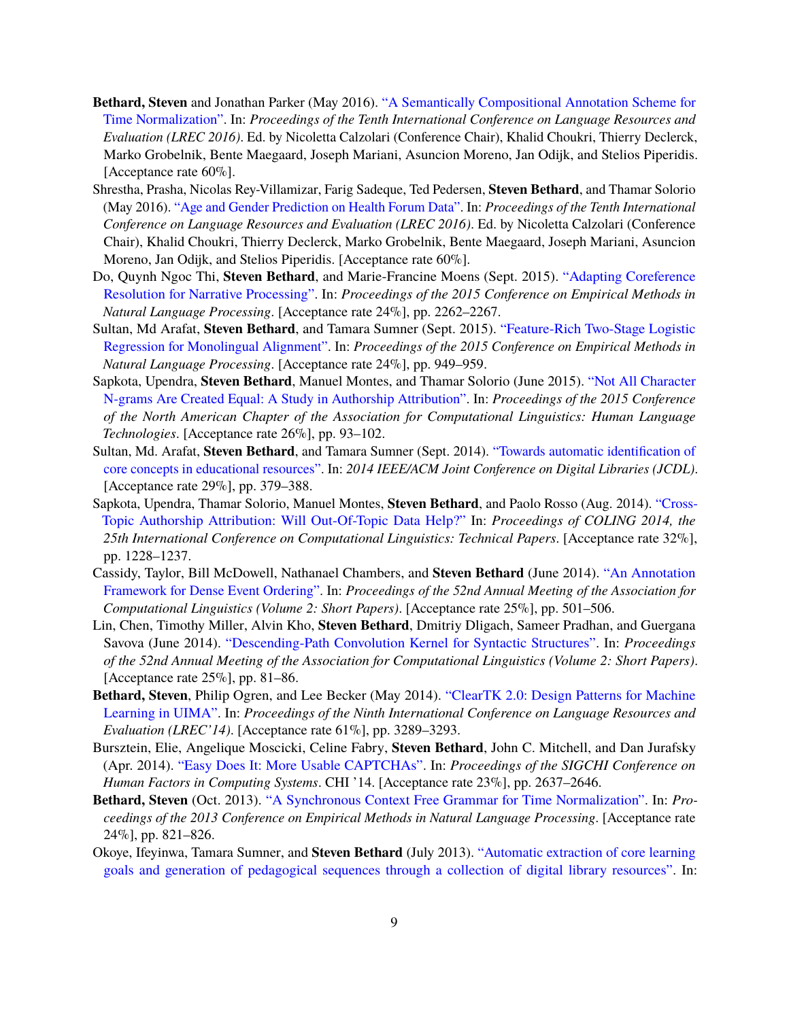- **Bethard, Steven** and Jonathan Parker (May 2016). ["A Semantically Compositional Annotation Scheme for](http://www.lrec-conf.org/proceedings/lrec2016/pdf/288_Paper.pdf) [Time Normalization".](http://www.lrec-conf.org/proceedings/lrec2016/pdf/288_Paper.pdf) In: *Proceedings of the Tenth International Conference on Language Resources and Evaluation (LREC 2016)*. Ed. by Nicoletta Calzolari (Conference Chair), Khalid Choukri, Thierry Declerck, Marko Grobelnik, Bente Maegaard, Joseph Mariani, Asuncion Moreno, Jan Odijk, and Stelios Piperidis. [Acceptance rate 60\%].
- Shrestha, Prasha, Nicolas Rey-Villamizar, Farig Sadeque, Ted Pedersen, **Steven Bethard**, and Thamar Solorio (May 2016). ["Age and Gender Prediction on Health Forum Data".](http://www.lrec-conf.org/proceedings/lrec2016/pdf/1117_Paper.pdf) In: *Proceedings of the Tenth International Conference on Language Resources and Evaluation (LREC 2016)*. Ed. by Nicoletta Calzolari (Conference Chair), Khalid Choukri, Thierry Declerck, Marko Grobelnik, Bente Maegaard, Joseph Mariani, Asuncion Moreno, Jan Odijk, and Stelios Piperidis. [Acceptance rate 60%].
- Do, Quynh Ngoc Thi, **Steven Bethard**, and Marie-Francine Moens (Sept. 2015). ["Adapting Coreference](http://aclweb.org/anthology/D15-1271) [Resolution for Narrative Processing".](http://aclweb.org/anthology/D15-1271) In: *Proceedings of the 2015 Conference on Empirical Methods in Natural Language Processing*. [Acceptance rate 24%], pp. 2262–2267.
- Sultan, Md Arafat, **Steven Bethard**, and Tamara Sumner (Sept. 2015). ["Feature-Rich Two-Stage Logistic](http://aclweb.org/anthology/D15-1111) [Regression for Monolingual Alignment".](http://aclweb.org/anthology/D15-1111) In: *Proceedings of the 2015 Conference on Empirical Methods in Natural Language Processing*. [Acceptance rate 24%], pp. 949–959.
- Sapkota, Upendra, **Steven Bethard**, Manuel Montes, and Thamar Solorio (June 2015). ["Not All Character](http://www.aclweb.org/anthology/N15-1010) [N-grams Are Created Equal: A Study in Authorship Attribution".](http://www.aclweb.org/anthology/N15-1010) In: *Proceedings of the 2015 Conference of the North American Chapter of the Association for Computational Linguistics: Human Language Technologies*. [Acceptance rate 26%], pp. 93–102.
- Sultan, Md. Arafat, **Steven Bethard**, and Tamara Sumner (Sept. 2014). ["Towards automatic identification of](http://dx.doi.org/10.1109/JCDL.2014.6970194) [core concepts in educational resources".](http://dx.doi.org/10.1109/JCDL.2014.6970194) In: *2014 IEEE/ACM Joint Conference on Digital Libraries (JCDL)*. [Acceptance rate 29%], pp. 379–388.
- Sapkota, Upendra, Thamar Solorio, Manuel Montes, **Steven Bethard**, and Paolo Rosso (Aug. 2014). ["Cross-](http://www.aclweb.org/anthology/C14-1116)[Topic Authorship Attribution: Will Out-Of-Topic Data Help?"](http://www.aclweb.org/anthology/C14-1116) In: *Proceedings of COLING 2014, the 25th International Conference on Computational Linguistics: Technical Papers*. [Acceptance rate 32%], pp. 1228–1237.
- Cassidy, Taylor, Bill McDowell, Nathanael Chambers, and **Steven Bethard** (June 2014). ["An Annotation](http://www.aclweb.org/anthology/P14-2082) [Framework for Dense Event Ordering".](http://www.aclweb.org/anthology/P14-2082) In: *Proceedings of the 52nd Annual Meeting of the Association for Computational Linguistics (Volume 2: Short Papers)*. [Acceptance rate 25%], pp. 501–506.
- Lin, Chen, Timothy Miller, Alvin Kho, **Steven Bethard**, Dmitriy Dligach, Sameer Pradhan, and Guergana Savova (June 2014). ["Descending-Path Convolution Kernel for Syntactic Structures".](http://www.aclweb.org/anthology/P14-2014) In: *Proceedings of the 52nd Annual Meeting of the Association for Computational Linguistics (Volume 2: Short Papers)*. [Acceptance rate 25%], pp. 81–86.
- **Bethard, Steven**, Philip Ogren, and Lee Becker (May 2014). ["ClearTK 2.0: Design Patterns for Machine](http://www.lrec-conf.org/proceedings/lrec2014/pdf/218_Paper.pdf) [Learning in UIMA".](http://www.lrec-conf.org/proceedings/lrec2014/pdf/218_Paper.pdf) In: *Proceedings of the Ninth International Conference on Language Resources and Evaluation (LREC'14)*. [Acceptance rate 61%], pp. 3289–3293.
- Bursztein, Elie, Angelique Moscicki, Celine Fabry, **Steven Bethard**, John C. Mitchell, and Dan Jurafsky (Apr. 2014). ["Easy Does It: More Usable CAPTCHAs".](http://dl.acm.org/authorize?N87813) In: *Proceedings of the SIGCHI Conference on Human Factors in Computing Systems*. CHI '14. [Acceptance rate 23%], pp. 2637–2646.
- **Bethard, Steven** (Oct. 2013). ["A Synchronous Context Free Grammar for Time Normalization".](http://www.aclweb.org/anthology/D13-1078) In: *Proceedings of the 2013 Conference on Empirical Methods in Natural Language Processing*. [Acceptance rate 24%], pp. 821–826.
- Okoye, Ifeyinwa, Tamara Sumner, and **Steven Bethard** (July 2013). ["Automatic extraction of core learning](http://dl.acm.org/authorize?N89173) [goals and generation of pedagogical sequences through a collection of digital library resources".](http://dl.acm.org/authorize?N89173) In: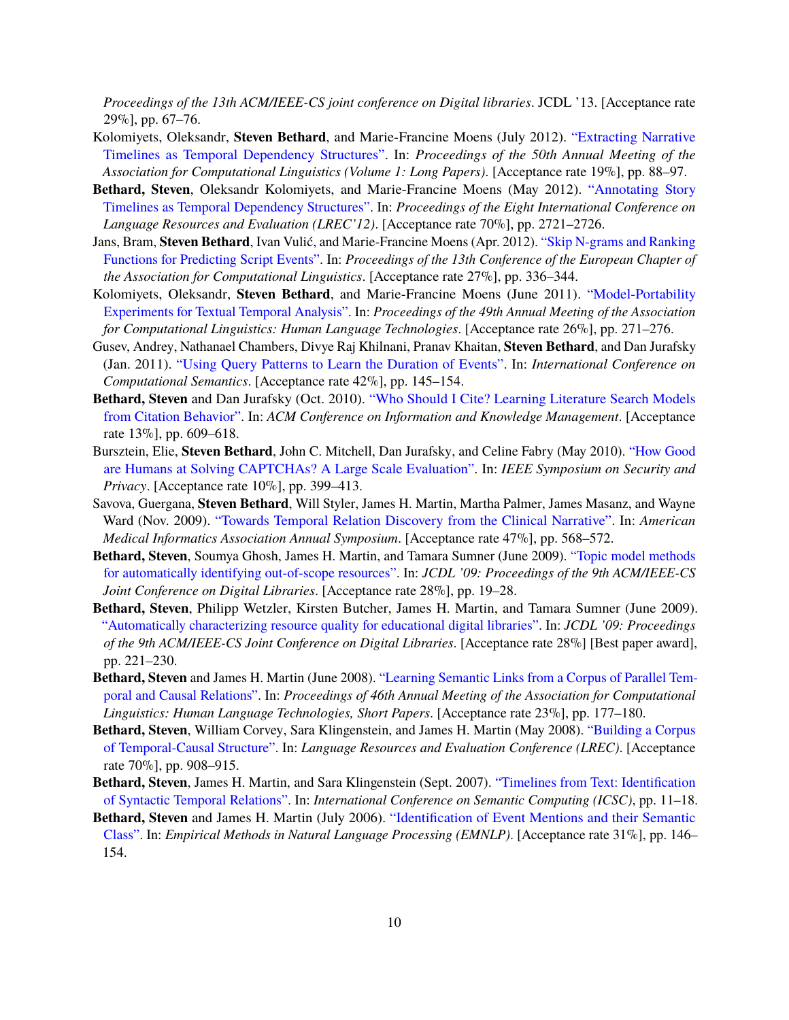*Proceedings of the 13th ACM/IEEE-CS joint conference on Digital libraries*. JCDL '13. [Acceptance rate 29%], pp. 67–76.

- Kolomiyets, Oleksandr, **Steven Bethard**, and Marie-Francine Moens (July 2012). ["Extracting Narrative](http://www.aclweb.org/anthology/P12-1010) [Timelines as Temporal Dependency Structures".](http://www.aclweb.org/anthology/P12-1010) In: *Proceedings of the 50th Annual Meeting of the Association for Computational Linguistics (Volume 1: Long Papers)*. [Acceptance rate 19%], pp. 88–97.
- **Bethard, Steven**, Oleksandr Kolomiyets, and Marie-Francine Moens (May 2012). ["Annotating Story](http://www.lrec-conf.org/proceedings/lrec2012/pdf/371_Paper.pdf) [Timelines as Temporal Dependency Structures".](http://www.lrec-conf.org/proceedings/lrec2012/pdf/371_Paper.pdf) In: *Proceedings of the Eight International Conference on Language Resources and Evaluation (LREC'12)*. [Acceptance rate 70%], pp. 2721–2726.
- Jans, Bram, **Steven Bethard**, Ivan Vulić, and Marie-Francine Moens (Apr. 2012). ["Skip N-grams and Ranking](http://www.aclweb.org/anthology/E12-1034) [Functions for Predicting Script Events".](http://www.aclweb.org/anthology/E12-1034) In: *Proceedings of the 13th Conference of the European Chapter of the Association for Computational Linguistics*. [Acceptance rate 27%], pp. 336–344.
- Kolomiyets, Oleksandr, **Steven Bethard**, and Marie-Francine Moens (June 2011). ["Model-Portability](http://www.aclweb.org/anthology/P11-2047) [Experiments for Textual Temporal Analysis".](http://www.aclweb.org/anthology/P11-2047) In: *Proceedings of the 49th Annual Meeting of the Association for Computational Linguistics: Human Language Technologies*. [Acceptance rate 26%], pp. 271–276.
- Gusev, Andrey, Nathanael Chambers, Divye Raj Khilnani, Pranav Khaitan, **Steven Bethard**, and Dan Jurafsky (Jan. 2011). ["Using Query Patterns to Learn the Duration of Events".](http://www.aclweb.org/anthology/W11-0116) In: *International Conference on Computational Semantics*. [Acceptance rate 42%], pp. 145–154.
- **Bethard, Steven** and Dan Jurafsky (Oct. 2010). ["Who Should I Cite? Learning Literature Search Models](http://dl.acm.org/authorize?N89189) [from Citation Behavior".](http://dl.acm.org/authorize?N89189) In: *ACM Conference on Information and Knowledge Management*. [Acceptance rate 13%], pp. 609–618.
- Bursztein, Elie, **Steven Bethard**, John C. Mitchell, Dan Jurafsky, and Celine Fabry (May 2010). ["How Good](http://dx.doi.org/10.1109/SP.2010.31) [are Humans at Solving CAPTCHAs? A Large Scale Evaluation".](http://dx.doi.org/10.1109/SP.2010.31) In: *IEEE Symposium on Security and Privacy*. [Acceptance rate 10%], pp. 399–413.
- Savova, Guergana, **Steven Bethard**, Will Styler, James H. Martin, Martha Palmer, James Masanz, and Wayne Ward (Nov. 2009). ["Towards Temporal Relation Discovery from the Clinical Narrative".](http://www.ncbi.nlm.nih.gov/pmc/articles/PMC2815499/) In: *American Medical Informatics Association Annual Symposium*. [Acceptance rate 47%], pp. 568–572.
- **Bethard, Steven**, Soumya Ghosh, James H. Martin, and Tamara Sumner (June 2009). ["Topic model methods](http://dl.acm.org/authorize?N89187) [for automatically identifying out-of-scope resources".](http://dl.acm.org/authorize?N89187) In: *JCDL '09: Proceedings of the 9th ACM/IEEE-CS Joint Conference on Digital Libraries*. [Acceptance rate 28%], pp. 19–28.
- **Bethard, Steven**, Philipp Wetzler, Kirsten Butcher, James H. Martin, and Tamara Sumner (June 2009). ["Automatically characterizing resource quality for educational digital libraries".](http://dl.acm.org/authorize?N89186) In: *JCDL '09: Proceedings of the 9th ACM/IEEE-CS Joint Conference on Digital Libraries*. [Acceptance rate 28%] [Best paper award], pp. 221–230.
- **Bethard, Steven** and James H. Martin (June 2008). ["Learning Semantic Links from a Corpus of Parallel Tem](http://aclweb.org/anthology/P08-2045)[poral and Causal Relations".](http://aclweb.org/anthology/P08-2045) In: *Proceedings of 46th Annual Meeting of the Association for Computational Linguistics: Human Language Technologies, Short Papers*. [Acceptance rate 23%], pp. 177–180.
- **Bethard, Steven**, William Corvey, Sara Klingenstein, and James H. Martin (May 2008). ["Building a Corpus](http://www.lrec-conf.org/proceedings/lrec2008/pdf/229_paper.pdf) [of Temporal-Causal Structure".](http://www.lrec-conf.org/proceedings/lrec2008/pdf/229_paper.pdf) In: *Language Resources and Evaluation Conference (LREC)*. [Acceptance rate 70%], pp. 908–915.
- **Bethard, Steven**, James H. Martin, and Sara Klingenstein (Sept. 2007). ["Timelines from Text: Identification](http://dx.doi.org/10.1109/ICSC.2007.77) [of Syntactic Temporal Relations".](http://dx.doi.org/10.1109/ICSC.2007.77) In: *International Conference on Semantic Computing (ICSC)*, pp. 11–18.
- **Bethard, Steven** and James H. Martin (July 2006). ["Identification of Event Mentions and their Semantic](http://aclweb.org/anthology/W06-1618) [Class".](http://aclweb.org/anthology/W06-1618) In: *Empirical Methods in Natural Language Processing (EMNLP)*. [Acceptance rate 31%], pp. 146– 154.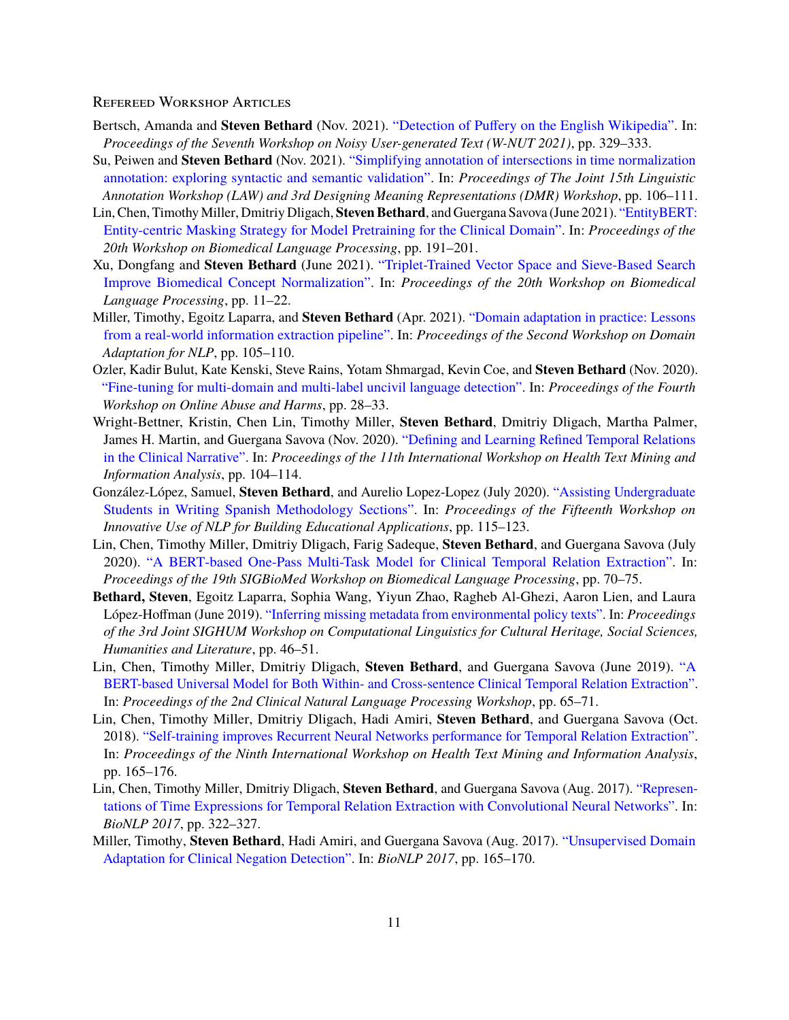#### Refereed Workshop Articles

- Bertsch, Amanda and **Steven Bethard** (Nov. 2021). ["Detection of Puffery on the English Wikipedia".](https://aclanthology.org/2021.wnut-1.36) In: *Proceedings of the Seventh Workshop on Noisy User-generated Text (W-NUT 2021)*, pp. 329–333.
- Su, Peiwen and **Steven Bethard** (Nov. 2021). ["Simplifying annotation of intersections in time normalization](https://aclanthology.org/2021.law-1.11) [annotation: exploring syntactic and semantic validation".](https://aclanthology.org/2021.law-1.11) In: *Proceedings of The Joint 15th Linguistic Annotation Workshop (LAW) and 3rd Designing Meaning Representations (DMR) Workshop*, pp. 106–111.
- Lin, Chen, Timothy Miller, Dmitriy Dligach, **Steven Bethard**, and Guergana Savova (June 2021). ["EntityBERT:](https://www.aclweb.org/anthology/2021.bionlp-1.21) [Entity-centric Masking Strategy for Model Pretraining for the Clinical Domain".](https://www.aclweb.org/anthology/2021.bionlp-1.21) In: *Proceedings of the 20th Workshop on Biomedical Language Processing*, pp. 191–201.
- Xu, Dongfang and **Steven Bethard** (June 2021). ["Triplet-Trained Vector Space and Sieve-Based Search](https://www.aclweb.org/anthology/2021.bionlp-1.2) [Improve Biomedical Concept Normalization".](https://www.aclweb.org/anthology/2021.bionlp-1.2) In: *Proceedings of the 20th Workshop on Biomedical Language Processing*, pp. 11–22.
- Miller, Timothy, Egoitz Laparra, and **Steven Bethard** (Apr. 2021). ["Domain adaptation in practice: Lessons](https://www.aclweb.org/anthology/2021.adaptnlp-1.11) [from a real-world information extraction pipeline".](https://www.aclweb.org/anthology/2021.adaptnlp-1.11) In: *Proceedings of the Second Workshop on Domain Adaptation for NLP*, pp. 105–110.
- Ozler, Kadir Bulut, Kate Kenski, Steve Rains, Yotam Shmargad, Kevin Coe, and **Steven Bethard** (Nov. 2020). ["Fine-tuning for multi-domain and multi-label uncivil language detection".](https://www.aclweb.org/anthology/2020.alw-1.4) In: *Proceedings of the Fourth Workshop on Online Abuse and Harms*, pp. 28–33.
- Wright-Bettner, Kristin, Chen Lin, Timothy Miller, **Steven Bethard**, Dmitriy Dligach, Martha Palmer, James H. Martin, and Guergana Savova (Nov. 2020). ["Defining and Learning Refined Temporal Relations](https://www.aclweb.org/anthology/2020.louhi-1.12) [in the Clinical Narrative".](https://www.aclweb.org/anthology/2020.louhi-1.12) In: *Proceedings of the 11th International Workshop on Health Text Mining and Information Analysis*, pp. 104–114.
- González-López, Samuel, **Steven Bethard**, and Aurelio Lopez-Lopez (July 2020). ["Assisting Undergraduate](https://www.aclweb.org/anthology/2020.bea-1.11) [Students in Writing Spanish Methodology Sections".](https://www.aclweb.org/anthology/2020.bea-1.11) In: *Proceedings of the Fifteenth Workshop on Innovative Use of NLP for Building Educational Applications*, pp. 115–123.
- Lin, Chen, Timothy Miller, Dmitriy Dligach, Farig Sadeque, **Steven Bethard**, and Guergana Savova (July 2020). ["A BERT-based One-Pass Multi-Task Model for Clinical Temporal Relation Extraction".](https://www.aclweb.org/anthology/2020.bionlp-1.7) In: *Proceedings of the 19th SIGBioMed Workshop on Biomedical Language Processing*, pp. 70–75.
- **Bethard, Steven**, Egoitz Laparra, Sophia Wang, Yiyun Zhao, Ragheb Al-Ghezi, Aaron Lien, and Laura López-Hoffman (June 2019). ["Inferring missing metadata from environmental policy texts".](http://www.aclweb.org/anthology/W19-2506) In: *Proceedings of the 3rd Joint SIGHUM Workshop on Computational Linguistics for Cultural Heritage, Social Sciences, Humanities and Literature*, pp. 46–51.
- Lin, Chen, Timothy Miller, Dmitriy Dligach, **Steven Bethard**, and Guergana Savova (June 2019). ["A](http://www.aclweb.org/anthology/W19-1908) [BERT-based Universal Model for Both Within- and Cross-sentence Clinical Temporal Relation Extraction".](http://www.aclweb.org/anthology/W19-1908) In: *Proceedings of the 2nd Clinical Natural Language Processing Workshop*, pp. 65–71.
- Lin, Chen, Timothy Miller, Dmitriy Dligach, Hadi Amiri, **Steven Bethard**, and Guergana Savova (Oct. 2018). ["Self-training improves Recurrent Neural Networks performance for Temporal Relation Extraction".](http://www.aclweb.org/anthology/W18-5619) In: *Proceedings of the Ninth International Workshop on Health Text Mining and Information Analysis*, pp. 165–176.
- Lin, Chen, Timothy Miller, Dmitriy Dligach, **Steven Bethard**, and Guergana Savova (Aug. 2017). ["Represen](http://www.aclweb.org/anthology/W17-2341)[tations of Time Expressions for Temporal Relation Extraction with Convolutional Neural Networks".](http://www.aclweb.org/anthology/W17-2341) In: *BioNLP 2017*, pp. 322–327.
- Miller, Timothy, **Steven Bethard**, Hadi Amiri, and Guergana Savova (Aug. 2017). ["Unsupervised Domain](http://www.aclweb.org/anthology/W17-2320) [Adaptation for Clinical Negation Detection".](http://www.aclweb.org/anthology/W17-2320) In: *BioNLP 2017*, pp. 165–170.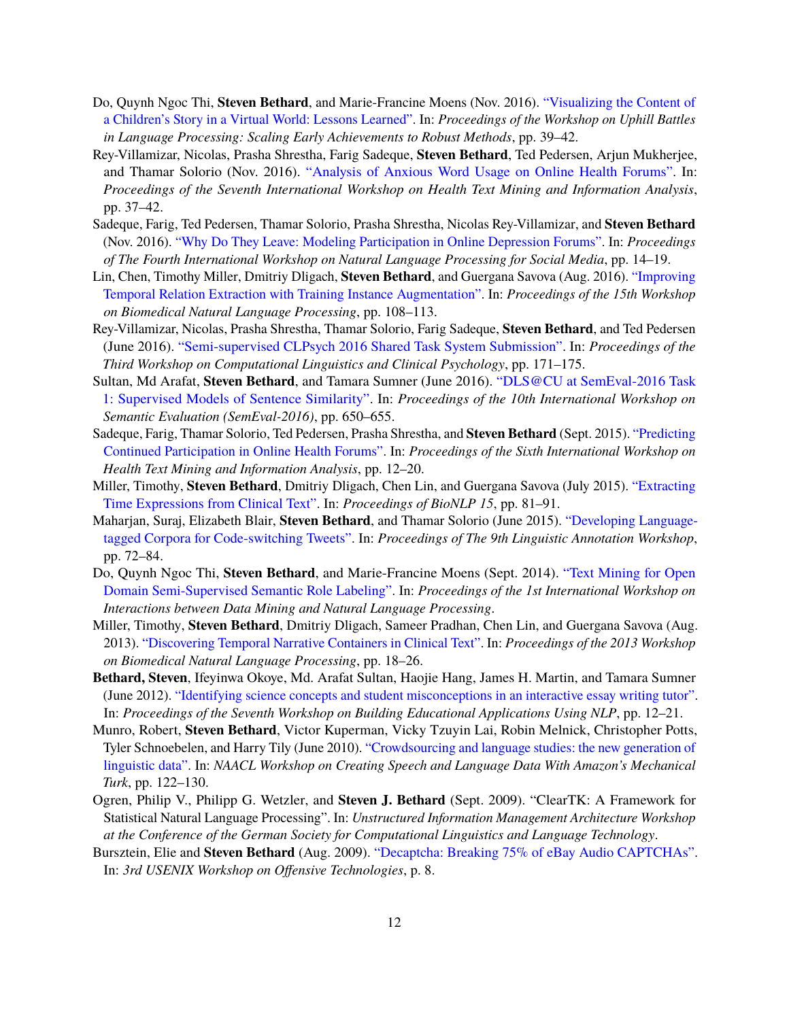- Do, Quynh Ngoc Thi, **Steven Bethard**, and Marie-Francine Moens (Nov. 2016). ["Visualizing the Content of](http://aclweb.org/anthology/W16-6009) [a Children's Story in a Virtual World: Lessons Learned".](http://aclweb.org/anthology/W16-6009) In: *Proceedings of the Workshop on Uphill Battles in Language Processing: Scaling Early Achievements to Robust Methods*, pp. 39–42.
- Rey-Villamizar, Nicolas, Prasha Shrestha, Farig Sadeque, **Steven Bethard**, Ted Pedersen, Arjun Mukherjee, and Thamar Solorio (Nov. 2016). ["Analysis of Anxious Word Usage on Online Health Forums".](http://aclweb.org/anthology/W16-6105) In: *Proceedings of the Seventh International Workshop on Health Text Mining and Information Analysis*, pp. 37–42.
- Sadeque, Farig, Ted Pedersen, Thamar Solorio, Prasha Shrestha, Nicolas Rey-Villamizar, and **Steven Bethard** (Nov. 2016). ["Why Do They Leave: Modeling Participation in Online Depression Forums".](http://aclweb.org/anthology/W16-6203) In: *Proceedings of The Fourth International Workshop on Natural Language Processing for Social Media*, pp. 14–19.
- Lin, Chen, Timothy Miller, Dmitriy Dligach, **Steven Bethard**, and Guergana Savova (Aug. 2016). ["Improving](http://anthology.aclweb.org/W16-2914) [Temporal Relation Extraction with Training Instance Augmentation".](http://anthology.aclweb.org/W16-2914) In: *Proceedings of the 15th Workshop on Biomedical Natural Language Processing*, pp. 108–113.
- Rey-Villamizar, Nicolas, Prasha Shrestha, Thamar Solorio, Farig Sadeque, **Steven Bethard**, and Ted Pedersen (June 2016). ["Semi-supervised CLPsych 2016 Shared Task System Submission".](http://www.aclweb.org/anthology/W16-0322) In: *Proceedings of the Third Workshop on Computational Linguistics and Clinical Psychology*, pp. 171–175.
- Sultan, Md Arafat, **Steven Bethard**, and Tamara Sumner (June 2016). ["DLS@CU at SemEval-2016 Task](http://www.aclweb.org/anthology/S16-1099) [1: Supervised Models of Sentence Similarity".](http://www.aclweb.org/anthology/S16-1099) In: *Proceedings of the 10th International Workshop on Semantic Evaluation (SemEval-2016)*, pp. 650–655.
- Sadeque, Farig, Thamar Solorio, Ted Pedersen, Prasha Shrestha, and **Steven Bethard** (Sept. 2015). ["Predicting](http://aclweb.org/anthology/W15-2602) [Continued Participation in Online Health Forums".](http://aclweb.org/anthology/W15-2602) In: *Proceedings of the Sixth International Workshop on Health Text Mining and Information Analysis*, pp. 12–20.
- Miller, Timothy, **Steven Bethard**, Dmitriy Dligach, Chen Lin, and Guergana Savova (July 2015). ["Extracting](http://www.aclweb.org/anthology/W15-3809) [Time Expressions from Clinical Text".](http://www.aclweb.org/anthology/W15-3809) In: *Proceedings of BioNLP 15*, pp. 81–91.
- Maharjan, Suraj, Elizabeth Blair, **Steven Bethard**, and Thamar Solorio (June 2015). ["Developing Language](http://www.aclweb.org/anthology/W15-1608)[tagged Corpora for Code-switching Tweets".](http://www.aclweb.org/anthology/W15-1608) In: *Proceedings of The 9th Linguistic Annotation Workshop*, pp. 72–84.
- Do, Quynh Ngoc Thi, **Steven Bethard**, and Marie-Francine Moens (Sept. 2014). ["Text Mining for Open](http://ceur-ws.org/Vol-1202/paper3.pdf) [Domain Semi-Supervised Semantic Role Labeling".](http://ceur-ws.org/Vol-1202/paper3.pdf) In: *Proceedings of the 1st International Workshop on Interactions between Data Mining and Natural Language Processing*.
- Miller, Timothy, **Steven Bethard**, Dmitriy Dligach, Sameer Pradhan, Chen Lin, and Guergana Savova (Aug. 2013). ["Discovering Temporal Narrative Containers in Clinical Text".](http://www.aclweb.org/anthology/W13-1903) In: *Proceedings of the 2013 Workshop on Biomedical Natural Language Processing*, pp. 18–26.
- **Bethard, Steven**, Ifeyinwa Okoye, Md. Arafat Sultan, Haojie Hang, James H. Martin, and Tamara Sumner (June 2012). ["Identifying science concepts and student misconceptions in an interactive essay writing tutor".](http://www.aclweb.org/anthology/W12-2002) In: *Proceedings of the Seventh Workshop on Building Educational Applications Using NLP*, pp. 12–21.
- Munro, Robert, **Steven Bethard**, Victor Kuperman, Vicky Tzuyin Lai, Robin Melnick, Christopher Potts, Tyler Schnoebelen, and Harry Tily (June 2010). ["Crowdsourcing and language studies: the new generation of](http://www.aclweb.org/anthology/W10-0719) [linguistic data".](http://www.aclweb.org/anthology/W10-0719) In: *NAACL Workshop on Creating Speech and Language Data With Amazon's Mechanical Turk*, pp. 122–130.
- Ogren, Philip V., Philipp G. Wetzler, and **Steven J. Bethard** (Sept. 2009). "ClearTK: A Framework for Statistical Natural Language Processing". In: *Unstructured Information Management Architecture Workshop at the Conference of the German Society for Computational Linguistics and Language Technology*.
- Bursztein, Elie and **Steven Bethard** (Aug. 2009). ["Decaptcha: Breaking 75% of eBay Audio CAPTCHAs".](http://www.usenix.org/event/woot09/tech/full_papers/bursztein.pdf) In: *3rd USENIX Workshop on Offensive Technologies*, p. 8.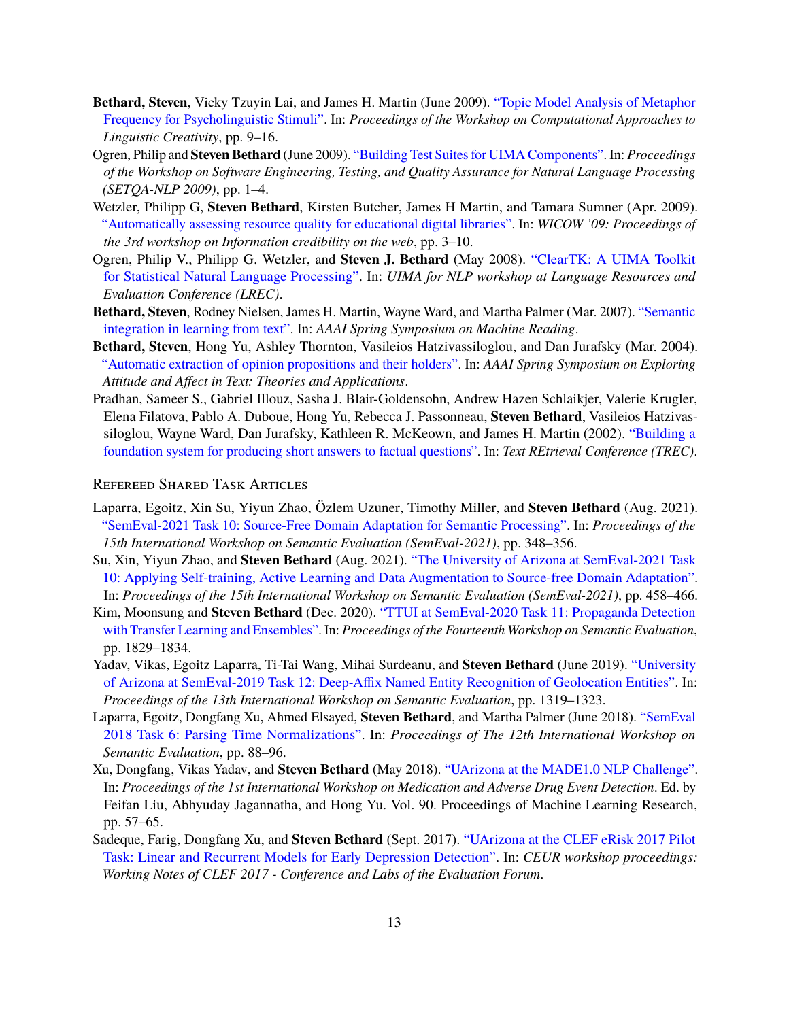- **Bethard, Steven**, Vicky Tzuyin Lai, and James H. Martin (June 2009). ["Topic Model Analysis of Metaphor](http://www.aclweb.org/anthology/W09-2002) [Frequency for Psycholinguistic Stimuli".](http://www.aclweb.org/anthology/W09-2002) In: *Proceedings of the Workshop on Computational Approaches to Linguistic Creativity*, pp. 9–16.
- Ogren, Philip and **Steven Bethard** (June 2009). ["Building Test Suites for UIMA Components".](http://www.aclweb.org/anthology/W09-1501) In: *Proceedings of the Workshop on Software Engineering, Testing, and Quality Assurance for Natural Language Processing (SETQA-NLP 2009)*, pp. 1–4.
- Wetzler, Philipp G, **Steven Bethard**, Kirsten Butcher, James H Martin, and Tamara Sumner (Apr. 2009). ["Automatically assessing resource quality for educational digital libraries".](http://dl.acm.org/authorize?N89188) In: *WICOW '09: Proceedings of the 3rd workshop on Information credibility on the web*, pp. 3–10.
- Ogren, Philip V., Philipp G. Wetzler, and **Steven J. Bethard** (May 2008). ["ClearTK: A UIMA Toolkit](http://www.lrec-conf.org/proceedings/lrec2008/workshops/W16_Proceedings.pdf#page=38) [for Statistical Natural Language Processing".](http://www.lrec-conf.org/proceedings/lrec2008/workshops/W16_Proceedings.pdf#page=38) In: *UIMA for NLP workshop at Language Resources and Evaluation Conference (LREC)*.
- **Bethard, Steven**, Rodney Nielsen, James H. Martin, Wayne Ward, and Martha Palmer (Mar. 2007). ["Semantic](http://www.aaai.org/Papers/Symposia/Spring/2007/SS-07-06/SS07-06-004.pdf) [integration in learning from text".](http://www.aaai.org/Papers/Symposia/Spring/2007/SS-07-06/SS07-06-004.pdf) In: *AAAI Spring Symposium on Machine Reading*.
- **Bethard, Steven**, Hong Yu, Ashley Thornton, Vasileios Hatzivassiloglou, and Dan Jurafsky (Mar. 2004). ["Automatic extraction of opinion propositions and their holders".](http://www.aaai.org/Papers/Symposia/Spring/2004/SS-04-07/SS04-07-005.pdf) In: *AAAI Spring Symposium on Exploring Attitude and Affect in Text: Theories and Applications*.
- Pradhan, Sameer S., Gabriel Illouz, Sasha J. Blair-Goldensohn, Andrew Hazen Schlaikjer, Valerie Krugler, Elena Filatova, Pablo A. Duboue, Hong Yu, Rebecca J. Passonneau, **Steven Bethard**, Vasileios Hatzivassiloglou, Wayne Ward, Dan Jurafsky, Kathleen R. McKeown, and James H. Martin (2002). ["Building a](http://trec.nist.gov/pubs/trec11/papers/ucolorado.pradhan.ps.gz) [foundation system for producing short answers to factual questions".](http://trec.nist.gov/pubs/trec11/papers/ucolorado.pradhan.ps.gz) In: *Text REtrieval Conference (TREC)*.

#### Refereed Shared Task Articles

- Laparra, Egoitz, Xin Su, Yiyun Zhao, Özlem Uzuner, Timothy Miller, and **Steven Bethard** (Aug. 2021). ["SemEval-2021 Task 10: Source-Free Domain Adaptation for Semantic Processing".](https://aclanthology.org/2021.semeval-1.42) In: *Proceedings of the 15th International Workshop on Semantic Evaluation (SemEval-2021)*, pp. 348–356.
- Su, Xin, Yiyun Zhao, and **Steven Bethard** (Aug. 2021). ["The University of Arizona at SemEval-2021 Task](https://aclanthology.org/2021.semeval-1.56) [10: Applying Self-training, Active Learning and Data Augmentation to Source-free Domain Adaptation".](https://aclanthology.org/2021.semeval-1.56) In: *Proceedings of the 15th International Workshop on Semantic Evaluation (SemEval-2021)*, pp. 458–466.
- Kim, Moonsung and **Steven Bethard** (Dec. 2020). ["TTUI at SemEval-2020 Task 11: Propaganda Detection](https://www.aclweb.org/anthology/2020.semeval-1.240) [with Transfer Learning and Ensembles".](https://www.aclweb.org/anthology/2020.semeval-1.240) In: *Proceedings of the Fourteenth Workshop on Semantic Evaluation*, pp. 1829–1834.
- Yadav, Vikas, Egoitz Laparra, Ti-Tai Wang, Mihai Surdeanu, and **Steven Bethard** (June 2019). ["University](http://www.aclweb.org/anthology/S19-2232) [of Arizona at SemEval-2019 Task 12: Deep-Affix Named Entity Recognition of Geolocation Entities".](http://www.aclweb.org/anthology/S19-2232) In: *Proceedings of the 13th International Workshop on Semantic Evaluation*, pp. 1319–1323.
- Laparra, Egoitz, Dongfang Xu, Ahmed Elsayed, **Steven Bethard**, and Martha Palmer (June 2018). ["SemEval](http://www.aclweb.org/anthology/S18-1011) [2018 Task 6: Parsing Time Normalizations".](http://www.aclweb.org/anthology/S18-1011) In: *Proceedings of The 12th International Workshop on Semantic Evaluation*, pp. 88–96.
- Xu, Dongfang, Vikas Yadav, and **Steven Bethard** (May 2018). ["UArizona at the MADE1.0 NLP Challenge".](http://proceedings.mlr.press/v90/xu18a.html) In: *Proceedings of the 1st International Workshop on Medication and Adverse Drug Event Detection*. Ed. by Feifan Liu, Abhyuday Jagannatha, and Hong Yu. Vol. 90. Proceedings of Machine Learning Research, pp. 57–65.
- Sadeque, Farig, Dongfang Xu, and **Steven Bethard** (Sept. 2017). ["UArizona at the CLEF eRisk 2017 Pilot](http://ceur?ws.org/Vol?1866/paper_58.pdf) [Task: Linear and Recurrent Models for Early Depression Detection".](http://ceur?ws.org/Vol?1866/paper_58.pdf) In: *CEUR workshop proceedings: Working Notes of CLEF 2017 - Conference and Labs of the Evaluation Forum*.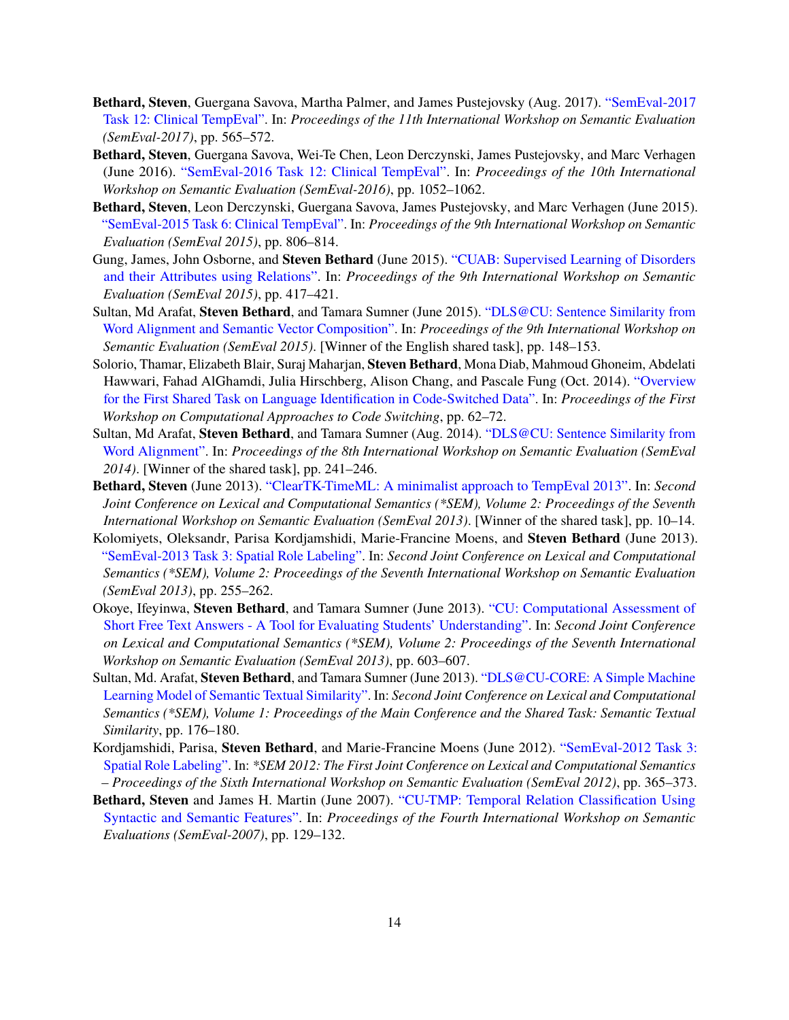- **Bethard, Steven**, Guergana Savova, Martha Palmer, and James Pustejovsky (Aug. 2017). ["SemEval-2017](http://www.aclweb.org/anthology/S17-2093) [Task 12: Clinical TempEval".](http://www.aclweb.org/anthology/S17-2093) In: *Proceedings of the 11th International Workshop on Semantic Evaluation (SemEval-2017)*, pp. 565–572.
- **Bethard, Steven**, Guergana Savova, Wei-Te Chen, Leon Derczynski, James Pustejovsky, and Marc Verhagen (June 2016). ["SemEval-2016 Task 12: Clinical TempEval".](http://www.aclweb.org/anthology/S16-1165) In: *Proceedings of the 10th International Workshop on Semantic Evaluation (SemEval-2016)*, pp. 1052–1062.
- **Bethard, Steven**, Leon Derczynski, Guergana Savova, James Pustejovsky, and Marc Verhagen (June 2015). ["SemEval-2015 Task 6: Clinical TempEval".](http://www.aclweb.org/anthology/S15-2136) In: *Proceedings of the 9th International Workshop on Semantic Evaluation (SemEval 2015)*, pp. 806–814.
- Gung, James, John Osborne, and **Steven Bethard** (June 2015). ["CUAB: Supervised Learning of Disorders](http://www.aclweb.org/anthology/S15-2072) [and their Attributes using Relations".](http://www.aclweb.org/anthology/S15-2072) In: *Proceedings of the 9th International Workshop on Semantic Evaluation (SemEval 2015)*, pp. 417–421.
- Sultan, Md Arafat, **Steven Bethard**, and Tamara Sumner (June 2015). ["DLS@CU: Sentence Similarity from](http://www.aclweb.org/anthology/S15-2027) [Word Alignment and Semantic Vector Composition".](http://www.aclweb.org/anthology/S15-2027) In: *Proceedings of the 9th International Workshop on Semantic Evaluation (SemEval 2015)*. [Winner of the English shared task], pp. 148–153.
- Solorio, Thamar, Elizabeth Blair, Suraj Maharjan, **Steven Bethard**, Mona Diab, Mahmoud Ghoneim, Abdelati Hawwari, Fahad AlGhamdi, Julia Hirschberg, Alison Chang, and Pascale Fung (Oct. 2014). ["Overview](http://www.aclweb.org/anthology/W14-3907) [for the First Shared Task on Language Identification in Code-Switched Data".](http://www.aclweb.org/anthology/W14-3907) In: *Proceedings of the First Workshop on Computational Approaches to Code Switching*, pp. 62–72.
- Sultan, Md Arafat, **Steven Bethard**, and Tamara Sumner (Aug. 2014). ["DLS@CU: Sentence Similarity from](http://www.aclweb.org/anthology/S14-2039) [Word Alignment".](http://www.aclweb.org/anthology/S14-2039) In: *Proceedings of the 8th International Workshop on Semantic Evaluation (SemEval 2014)*. [Winner of the shared task], pp. 241–246.
- **Bethard, Steven** (June 2013). ["ClearTK-TimeML: A minimalist approach to TempEval 2013".](http://www.aclweb.org/anthology/S13-2002) In: *Second Joint Conference on Lexical and Computational Semantics (\*SEM), Volume 2: Proceedings of the Seventh International Workshop on Semantic Evaluation (SemEval 2013)*. [Winner of the shared task], pp. 10–14.
- Kolomiyets, Oleksandr, Parisa Kordjamshidi, Marie-Francine Moens, and **Steven Bethard** (June 2013). ["SemEval-2013 Task 3: Spatial Role Labeling".](http://www.aclweb.org/anthology/S13-2044) In: *Second Joint Conference on Lexical and Computational Semantics (\*SEM), Volume 2: Proceedings of the Seventh International Workshop on Semantic Evaluation (SemEval 2013)*, pp. 255–262.
- Okoye, Ifeyinwa, **Steven Bethard**, and Tamara Sumner (June 2013). ["CU: Computational Assessment of](http://www.aclweb.org/anthology/S13-2101) [Short Free Text Answers - A Tool for Evaluating Students' Understanding".](http://www.aclweb.org/anthology/S13-2101) In: *Second Joint Conference on Lexical and Computational Semantics (\*SEM), Volume 2: Proceedings of the Seventh International Workshop on Semantic Evaluation (SemEval 2013)*, pp. 603–607.
- Sultan, Md. Arafat, **Steven Bethard**, and Tamara Sumner (June 2013). ["DLS@CU-CORE: A Simple Machine](http://www.aclweb.org/anthology/S13-1025) [Learning Model of Semantic Textual Similarity".](http://www.aclweb.org/anthology/S13-1025) In: *Second Joint Conference on Lexical and Computational Semantics (\*SEM), Volume 1: Proceedings of the Main Conference and the Shared Task: Semantic Textual Similarity*, pp. 176–180.
- Kordjamshidi, Parisa, **Steven Bethard**, and Marie-Francine Moens (June 2012). ["SemEval-2012 Task 3:](http://www.aclweb.org/anthology/S12-1048) [Spatial Role Labeling".](http://www.aclweb.org/anthology/S12-1048) In: *\*SEM 2012: The First Joint Conference on Lexical and Computational Semantics – Proceedings of the Sixth International Workshop on Semantic Evaluation (SemEval 2012)*, pp. 365–373.
- **Bethard, Steven** and James H. Martin (June 2007). ["CU-TMP: Temporal Relation Classification Using](http://www.aclweb.org/anthology/W07-2025) [Syntactic and Semantic Features".](http://www.aclweb.org/anthology/W07-2025) In: *Proceedings of the Fourth International Workshop on Semantic Evaluations (SemEval-2007)*, pp. 129–132.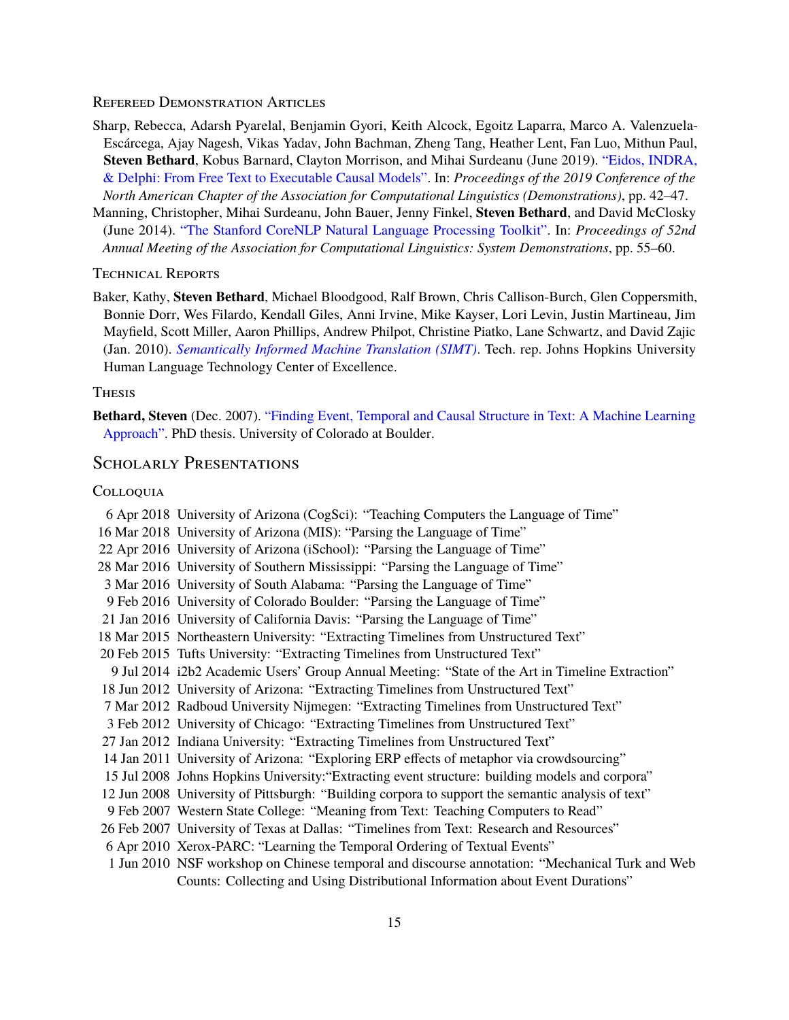#### Refereed Demonstration Articles

- Sharp, Rebecca, Adarsh Pyarelal, Benjamin Gyori, Keith Alcock, Egoitz Laparra, Marco A. Valenzuela-Escárcega, Ajay Nagesh, Vikas Yadav, John Bachman, Zheng Tang, Heather Lent, Fan Luo, Mithun Paul, **Steven Bethard**, Kobus Barnard, Clayton Morrison, and Mihai Surdeanu (June 2019). ["Eidos, INDRA,](http://www.aclweb.org/anthology/N19-4008) [& Delphi: From Free Text to Executable Causal Models".](http://www.aclweb.org/anthology/N19-4008) In: *Proceedings of the 2019 Conference of the North American Chapter of the Association for Computational Linguistics (Demonstrations)*, pp. 42–47.
- Manning, Christopher, Mihai Surdeanu, John Bauer, Jenny Finkel, **Steven Bethard**, and David McClosky (June 2014). ["The Stanford CoreNLP Natural Language Processing Toolkit".](http://www.aclweb.org/anthology/P14-5010) In: *Proceedings of 52nd Annual Meeting of the Association for Computational Linguistics: System Demonstrations*, pp. 55–60.

Technical Reports

Baker, Kathy, **Steven Bethard**, Michael Bloodgood, Ralf Brown, Chris Callison-Burch, Glen Coppersmith, Bonnie Dorr, Wes Filardo, Kendall Giles, Anni Irvine, Mike Kayser, Lori Levin, Justin Martineau, Jim Mayfield, Scott Miller, Aaron Phillips, Andrew Philpot, Christine Piatko, Lane Schwartz, and David Zajic (Jan. 2010). *[Semantically Informed Machine Translation \(SIMT\)](https://cs.jhu.edu/~ccb/publications/scale-2009-report.pdf)*. Tech. rep. Johns Hopkins University Human Language Technology Center of Excellence.

### **THESIS**

**Bethard, Steven** (Dec. 2007). ["Finding Event, Temporal and Causal Structure in Text: A Machine Learning](https://www.proquest.com/docview/304860129) [Approach".](https://www.proquest.com/docview/304860129) PhD thesis. University of Colorado at Boulder.

### SCHOLARLY PRESENTATIONS

#### **COLLOQUIA**

6 Apr 2018 University of Arizona (CogSci): "Teaching Computers the Language of Time" 16 Mar 2018 University of Arizona (MIS): "Parsing the Language of Time" 22 Apr 2016 University of Arizona (iSchool): "Parsing the Language of Time" 28 Mar 2016 University of Southern Mississippi: "Parsing the Language of Time" 3 Mar 2016 University of South Alabama: "Parsing the Language of Time" 9 Feb 2016 University of Colorado Boulder: "Parsing the Language of Time" 21 Jan 2016 University of California Davis: "Parsing the Language of Time" 18 Mar 2015 Northeastern University: "Extracting Timelines from Unstructured Text" 20 Feb 2015 Tufts University: "Extracting Timelines from Unstructured Text" 9 Jul 2014 i2b2 Academic Users' Group Annual Meeting: "State of the Art in Timeline Extraction" 18 Jun 2012 University of Arizona: "Extracting Timelines from Unstructured Text" 7 Mar 2012 Radboud University Nijmegen: "Extracting Timelines from Unstructured Text" 3 Feb 2012 University of Chicago: "Extracting Timelines from Unstructured Text" 27 Jan 2012 Indiana University: "Extracting Timelines from Unstructured Text" 14 Jan 2011 University of Arizona: "Exploring ERP effects of metaphor via crowdsourcing" 15 Jul 2008 Johns Hopkins University:"Extracting event structure: building models and corpora" 12 Jun 2008 University of Pittsburgh: "Building corpora to support the semantic analysis of text" 9 Feb 2007 Western State College: "Meaning from Text: Teaching Computers to Read" 26 Feb 2007 University of Texas at Dallas: "Timelines from Text: Research and Resources" 6 Apr 2010 Xerox-PARC: "Learning the Temporal Ordering of Textual Events" 1 Jun 2010 NSF workshop on Chinese temporal and discourse annotation: "Mechanical Turk and Web Counts: Collecting and Using Distributional Information about Event Durations"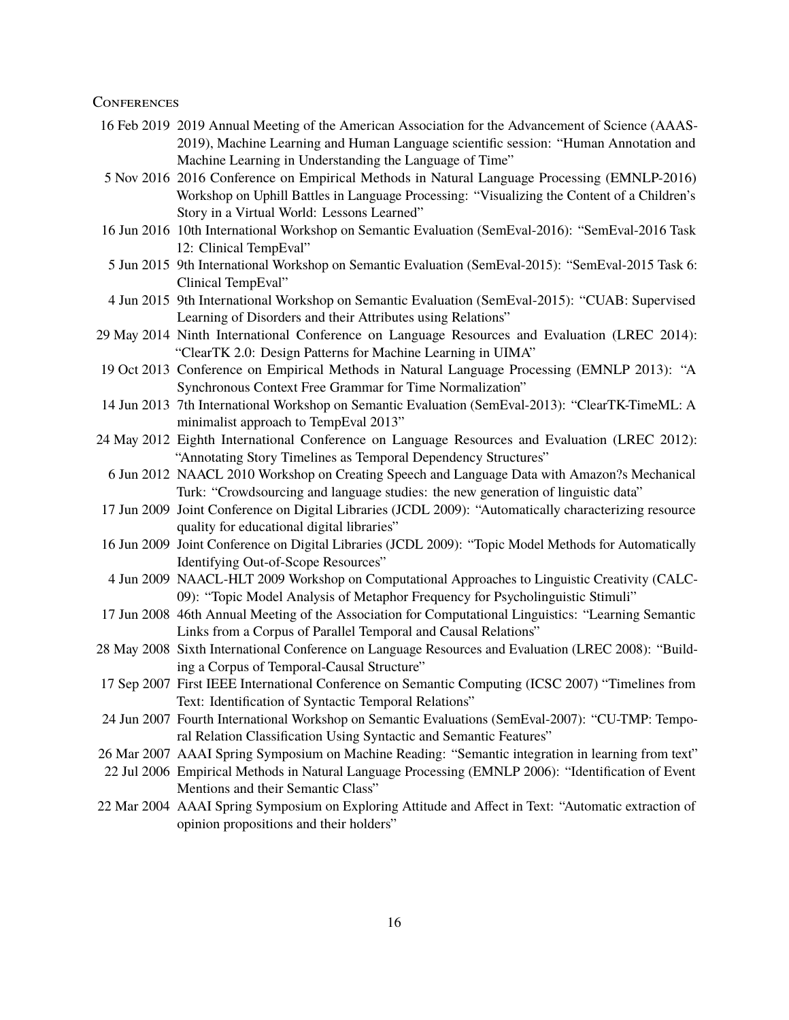#### **CONFERENCES**

- 16 Feb 2019 2019 Annual Meeting of the American Association for the Advancement of Science (AAAS-2019), Machine Learning and Human Language scientific session: "Human Annotation and Machine Learning in Understanding the Language of Time"
- 5 Nov 2016 2016 Conference on Empirical Methods in Natural Language Processing (EMNLP-2016) Workshop on Uphill Battles in Language Processing: "Visualizing the Content of a Children's Story in a Virtual World: Lessons Learned"
- 16 Jun 2016 10th International Workshop on Semantic Evaluation (SemEval-2016): "SemEval-2016 Task 12: Clinical TempEval"
- 5 Jun 2015 9th International Workshop on Semantic Evaluation (SemEval-2015): "SemEval-2015 Task 6: Clinical TempEval"
- 4 Jun 2015 9th International Workshop on Semantic Evaluation (SemEval-2015): "CUAB: Supervised Learning of Disorders and their Attributes using Relations"
- 29 May 2014 Ninth International Conference on Language Resources and Evaluation (LREC 2014): "ClearTK 2.0: Design Patterns for Machine Learning in UIMA"
- 19 Oct 2013 Conference on Empirical Methods in Natural Language Processing (EMNLP 2013): "A Synchronous Context Free Grammar for Time Normalization"
- 14 Jun 2013 7th International Workshop on Semantic Evaluation (SemEval-2013): "ClearTK-TimeML: A minimalist approach to TempEval 2013"
- 24 May 2012 Eighth International Conference on Language Resources and Evaluation (LREC 2012): "Annotating Story Timelines as Temporal Dependency Structures"
	- 6 Jun 2012 NAACL 2010 Workshop on Creating Speech and Language Data with Amazon?s Mechanical Turk: "Crowdsourcing and language studies: the new generation of linguistic data"
- 17 Jun 2009 Joint Conference on Digital Libraries (JCDL 2009): "Automatically characterizing resource quality for educational digital libraries"
- 16 Jun 2009 Joint Conference on Digital Libraries (JCDL 2009): "Topic Model Methods for Automatically Identifying Out-of-Scope Resources"
- 4 Jun 2009 NAACL-HLT 2009 Workshop on Computational Approaches to Linguistic Creativity (CALC-09): "Topic Model Analysis of Metaphor Frequency for Psycholinguistic Stimuli"
- 17 Jun 2008 46th Annual Meeting of the Association for Computational Linguistics: "Learning Semantic Links from a Corpus of Parallel Temporal and Causal Relations"
- 28 May 2008 Sixth International Conference on Language Resources and Evaluation (LREC 2008): "Building a Corpus of Temporal-Causal Structure"
- 17 Sep 2007 First IEEE International Conference on Semantic Computing (ICSC 2007) "Timelines from Text: Identification of Syntactic Temporal Relations"
- 24 Jun 2007 Fourth International Workshop on Semantic Evaluations (SemEval-2007): "CU-TMP: Temporal Relation Classification Using Syntactic and Semantic Features"
- 26 Mar 2007 AAAI Spring Symposium on Machine Reading: "Semantic integration in learning from text"
- 22 Jul 2006 Empirical Methods in Natural Language Processing (EMNLP 2006): "Identification of Event Mentions and their Semantic Class"
- 22 Mar 2004 AAAI Spring Symposium on Exploring Attitude and Affect in Text: "Automatic extraction of opinion propositions and their holders"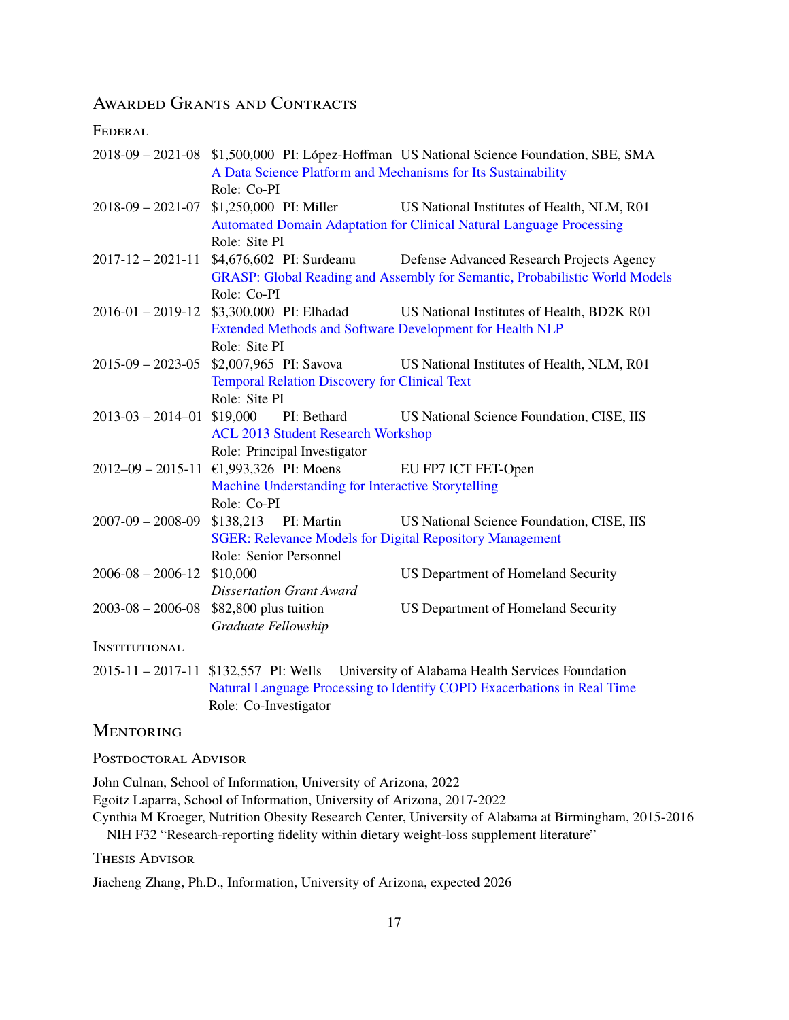# Awarded Grants and Contracts

**FEDERAL** 

|                              | 2018-09 - 2021-08 \$1,500,000 PI: López-Hoffman US National Science Foundation, SBE, SMA |                                                                                        |  |  |  |  |
|------------------------------|------------------------------------------------------------------------------------------|----------------------------------------------------------------------------------------|--|--|--|--|
|                              | A Data Science Platform and Mechanisms for Its Sustainability                            |                                                                                        |  |  |  |  |
|                              | Role: Co-PI                                                                              |                                                                                        |  |  |  |  |
|                              | 2018-09 - 2021-07 \$1,250,000 PI: Miller                                                 | US National Institutes of Health, NLM, R01                                             |  |  |  |  |
|                              |                                                                                          | Automated Domain Adaptation for Clinical Natural Language Processing                   |  |  |  |  |
|                              | Role: Site PI                                                                            |                                                                                        |  |  |  |  |
|                              |                                                                                          | 2017-12 – 2021-11 \$4,676,602 PI: Surdeanu Defense Advanced Research Projects Agency   |  |  |  |  |
|                              | GRASP: Global Reading and Assembly for Semantic, Probabilistic World Models              |                                                                                        |  |  |  |  |
|                              | Role: Co-PI                                                                              |                                                                                        |  |  |  |  |
|                              | 2016-01 - 2019-12 \$3,300,000 PI: Elhadad                                                | US National Institutes of Health, BD2K R01                                             |  |  |  |  |
|                              | Extended Methods and Software Development for Health NLP                                 |                                                                                        |  |  |  |  |
|                              | Role: Site PI                                                                            |                                                                                        |  |  |  |  |
|                              | $2015-09 - 2023-05$ \$2,007,965 PI: Savova                                               | US National Institutes of Health, NLM, R01                                             |  |  |  |  |
|                              | <b>Temporal Relation Discovery for Clinical Text</b>                                     |                                                                                        |  |  |  |  |
|                              | Role: Site PI                                                                            |                                                                                        |  |  |  |  |
| $2013-03 - 2014-01$ \$19,000 | PI: Bethard                                                                              | <b>US National Science Foundation, CISE, IIS</b>                                       |  |  |  |  |
|                              | <b>ACL 2013 Student Research Workshop</b>                                                |                                                                                        |  |  |  |  |
|                              | Role: Principal Investigator                                                             |                                                                                        |  |  |  |  |
|                              | $2012-09 - 2015-11$ €1,993,326 PI: Moens                                                 | EU FP7 ICT FET-Open                                                                    |  |  |  |  |
|                              | Machine Understanding for Interactive Storytelling                                       |                                                                                        |  |  |  |  |
|                              | Role: Co-PI                                                                              |                                                                                        |  |  |  |  |
|                              | 2007-09 - 2008-09 \$138,213 PI: Martin                                                   | US National Science Foundation, CISE, IIS                                              |  |  |  |  |
|                              | <b>SGER: Relevance Models for Digital Repository Management</b>                          |                                                                                        |  |  |  |  |
|                              | Role: Senior Personnel                                                                   |                                                                                        |  |  |  |  |
| $2006 - 08 - 2006 - 12$      | \$10,000                                                                                 | US Department of Homeland Security                                                     |  |  |  |  |
|                              | <b>Dissertation Grant Award</b>                                                          |                                                                                        |  |  |  |  |
|                              | $2003 - 08 - 2006 - 08$ \$82,800 plus tuition                                            | US Department of Homeland Security                                                     |  |  |  |  |
|                              | Graduate Fellowship                                                                      |                                                                                        |  |  |  |  |
| <b>INSTITUTIONAL</b>         |                                                                                          |                                                                                        |  |  |  |  |
|                              |                                                                                          | 2015-11 - 2017-11 \$132,557 PI: Wells University of Alabama Health Services Foundation |  |  |  |  |
|                              |                                                                                          | Natural Language Processing to Identify COPD Exacerbations in Real Time                |  |  |  |  |
|                              | Role: Co-Investigator                                                                    |                                                                                        |  |  |  |  |

## **MENTORING**

POSTDOCTORAL ADVISOR

John Culnan, School of Information, University of Arizona, 2022

Egoitz Laparra, School of Information, University of Arizona, 2017-2022

Cynthia M Kroeger, Nutrition Obesity Research Center, University of Alabama at Birmingham, 2015-2016 NIH F32 "Research-reporting fidelity within dietary weight-loss supplement literature"

Thesis Advisor

Jiacheng Zhang, Ph.D., Information, University of Arizona, expected 2026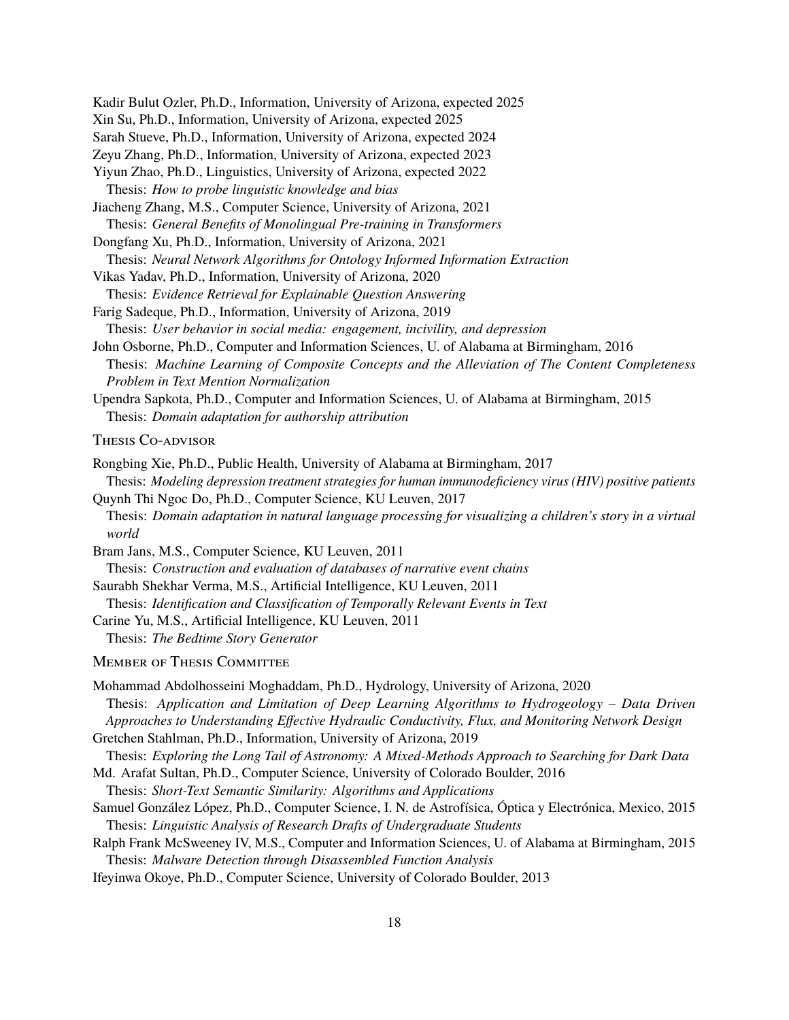Kadir Bulut Ozler, Ph.D., Information, University of Arizona, expected 2025 Xin Su, Ph.D., Information, University of Arizona, expected 2025 Sarah Stueve, Ph.D., Information, University of Arizona, expected 2024 Zeyu Zhang, Ph.D., Information, University of Arizona, expected 2023 Yiyun Zhao, Ph.D., Linguistics, University of Arizona, expected 2022 Thesis: *How to probe linguistic knowledge and bias* Jiacheng Zhang, M.S., Computer Science, University of Arizona, 2021 Thesis: *General Benefits of Monolingual Pre-training in Transformers* Dongfang Xu, Ph.D., Information, University of Arizona, 2021 Thesis: *Neural Network Algorithms for Ontology Informed Information Extraction* Vikas Yadav, Ph.D., Information, University of Arizona, 2020 Thesis: *Evidence Retrieval for Explainable Question Answering*

Farig Sadeque, Ph.D., Information, University of Arizona, 2019 Thesis: *User behavior in social media: engagement, incivility, and depression*

John Osborne, Ph.D., Computer and Information Sciences, U. of Alabama at Birmingham, 2016 Thesis: *Machine Learning of Composite Concepts and the Alleviation of The Content Completeness Problem in Text Mention Normalization*

Upendra Sapkota, Ph.D., Computer and Information Sciences, U. of Alabama at Birmingham, 2015 Thesis: *Domain adaptation for authorship attribution*

THESIS CO-ADVISOR

Rongbing Xie, Ph.D., Public Health, University of Alabama at Birmingham, 2017 Thesis: *Modeling depression treatment strategies for human immunodeficiency virus (HIV) positive patients*

- Quynh Thi Ngoc Do, Ph.D., Computer Science, KU Leuven, 2017 Thesis: *Domain adaptation in natural language processing for visualizing a children's story in a virtual world*
- Bram Jans, M.S., Computer Science, KU Leuven, 2011

Thesis: *Construction and evaluation of databases of narrative event chains*

Saurabh Shekhar Verma, M.S., Artificial Intelligence, KU Leuven, 2011

Thesis: *Identification and Classification of Temporally Relevant Events in Text*

Carine Yu, M.S., Artificial Intelligence, KU Leuven, 2011

Thesis: *The Bedtime Story Generator*

**MEMBER OF THESIS COMMITTEE** 

- Mohammad Abdolhosseini Moghaddam, Ph.D., Hydrology, University of Arizona, 2020 Thesis: *Application and Limitation of Deep Learning Algorithms to Hydrogeology – Data Driven Approaches to Understanding Effective Hydraulic Conductivity, Flux, and Monitoring Network Design*
- Gretchen Stahlman, Ph.D., Information, University of Arizona, 2019

Thesis: *Short-Text Semantic Similarity: Algorithms and Applications*

- Samuel González López, Ph.D., Computer Science, I. N. de Astrofísica, Óptica y Electrónica, Mexico, 2015 Thesis: *Linguistic Analysis of Research Drafts of Undergraduate Students*
- Ralph Frank McSweeney IV, M.S., Computer and Information Sciences, U. of Alabama at Birmingham, 2015 Thesis: *Malware Detection through Disassembled Function Analysis*

Ifeyinwa Okoye, Ph.D., Computer Science, University of Colorado Boulder, 2013

Thesis: *Exploring the Long Tail of Astronomy: A Mixed-Methods Approach to Searching for Dark Data* Md. Arafat Sultan, Ph.D., Computer Science, University of Colorado Boulder, 2016